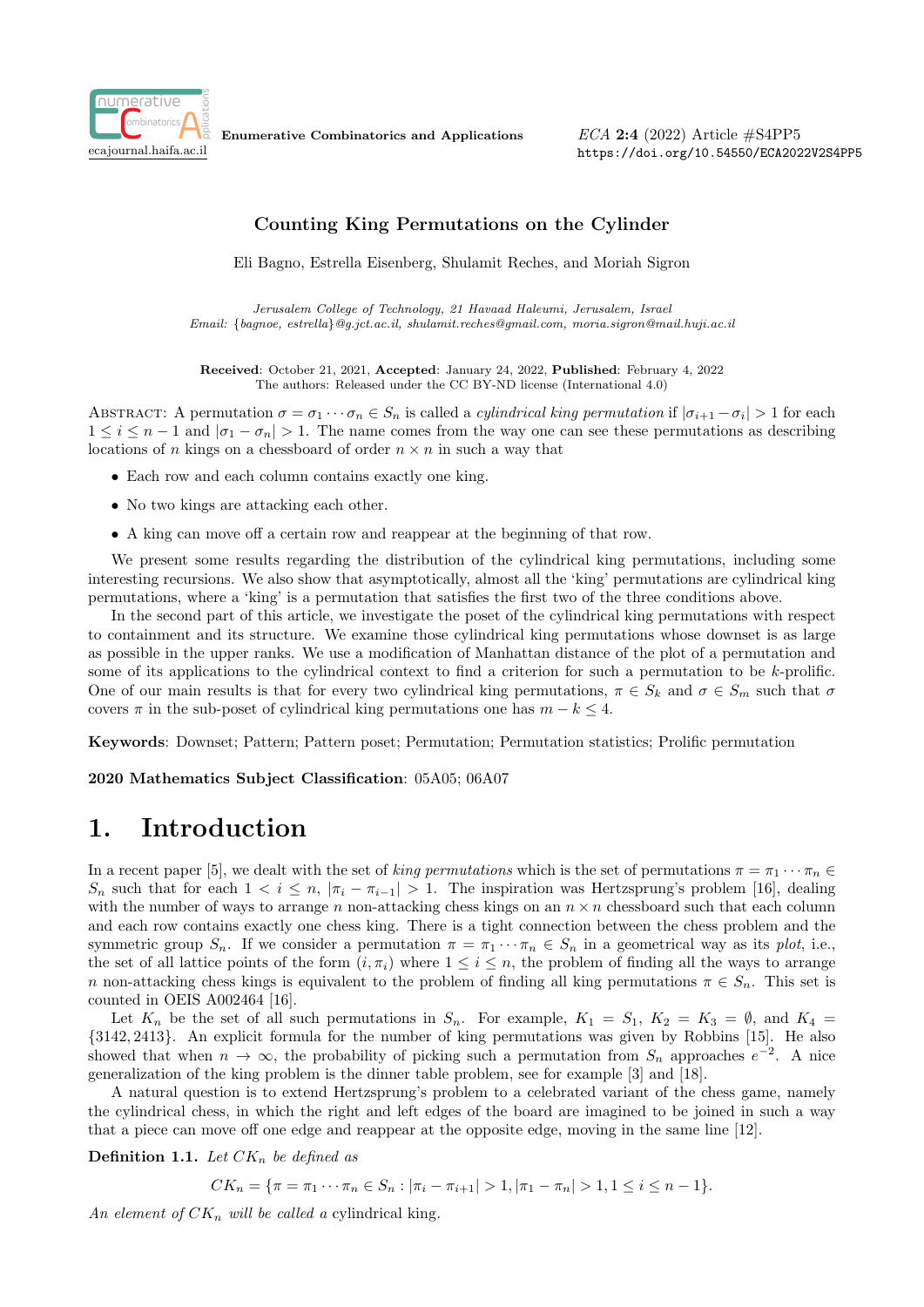

Enumerative Combinatorics and Applications

 $ECA$  2:4 (2022) Article  $\#S4PP5$ https://doi.org/10.54550/ECA2022V2S4PP5

## Counting King Permutations on the Cylinder

Eli Bagno, Estrella Eisenberg, Shulamit Reches, and Moriah Sigron

Jerusalem College of Technology, 21 Havaad Haleumi, Jerusalem, Israel Email: {bagnoe, estrella}@g.jct.ac.il, shulamit.reches@gmail.com, moria.sigron@mail.huji.ac.il

Received: October 21, 2021, Accepted: January 24, 2022, Published: February 4, 2022 The authors: Released under the CC BY-ND license (International 4.0)

ABSTRACT: A permutation  $\sigma = \sigma_1 \cdots \sigma_n \in S_n$  is called a *cylindrical king permutation* if  $|\sigma_{i+1} - \sigma_i| > 1$  for each  $1 \leq i \leq n-1$  and  $|\sigma_1 - \sigma_n| > 1$ . The name comes from the way one can see these permutations as describing locations of n kings on a chessboard of order  $n \times n$  in such a way that

- Each row and each column contains exactly one king.
- No two kings are attacking each other.
- A king can move off a certain row and reappear at the beginning of that row.

We present some results regarding the distribution of the cylindrical king permutations, including some interesting recursions. We also show that asymptotically, almost all the 'king' permutations are cylindrical king permutations, where a 'king' is a permutation that satisfies the first two of the three conditions above.

In the second part of this article, we investigate the poset of the cylindrical king permutations with respect to containment and its structure. We examine those cylindrical king permutations whose downset is as large as possible in the upper ranks. We use a modification of Manhattan distance of the plot of a permutation and some of its applications to the cylindrical context to find a criterion for such a permutation to be k-prolific. One of our main results is that for every two cylindrical king permutations,  $\pi \in S_k$  and  $\sigma \in S_m$  such that  $\sigma$ covers  $\pi$  in the sub-poset of cylindrical king permutations one has  $m - k \leq 4$ .

Keywords: Downset; Pattern; Pattern poset; Permutation; Permutation statistics; Prolific permutation

2020 Mathematics Subject Classification: 05A05; 06A07

## 1. Introduction

In a recent paper [5], we dealt with the set of king permutations which is the set of permutations  $\pi = \pi_1 \cdots \pi_n \in$  $S_n$  such that for each  $1 < i \leq n$ ,  $|\pi_i - \pi_{i-1}| > 1$ . The inspiration was Hertzsprung's problem [16], dealing with the number of ways to arrange n non-attacking chess kings on an  $n \times n$  chessboard such that each column and each row contains exactly one chess king. There is a tight connection between the chess problem and the symmetric group  $S_n$ . If we consider a permutation  $\pi = \pi_1 \cdots \pi_n \in S_n$  in a geometrical way as its plot, i.e., the set of all lattice points of the form  $(i, \pi_i)$  where  $1 \leq i \leq n$ , the problem of finding all the ways to arrange n non-attacking chess kings is equivalent to the problem of finding all king permutations  $\pi \in S_n$ . This set is counted in OEIS A002464 [16].

Let  $K_n$  be the set of all such permutations in  $S_n$ . For example,  $K_1 = S_1$ ,  $K_2 = K_3 = \emptyset$ , and  $K_4 =$ {3142, 2413}. An explicit formula for the number of king permutations was given by Robbins [15]. He also showed that when  $n \to \infty$ , the probability of picking such a permutation from  $S_n$  approaches  $e^{-2}$ . A nice generalization of the king problem is the dinner table problem, see for example [3] and [18].

A natural question is to extend Hertzsprung's problem to a celebrated variant of the chess game, namely the cylindrical chess, in which the right and left edges of the board are imagined to be joined in such a way that a piece can move off one edge and reappear at the opposite edge, moving in the same line [12].

**Definition 1.1.** Let  $CK_n$  be defined as

 $CK_n = {\pi = \pi_1 \cdots \pi_n \in S_n : |\pi_i - \pi_{i+1}| > 1, |\pi_1 - \pi_n| > 1, 1 \leq i \leq n-1}.$ 

An element of  $CK_n$  will be called a cylindrical king.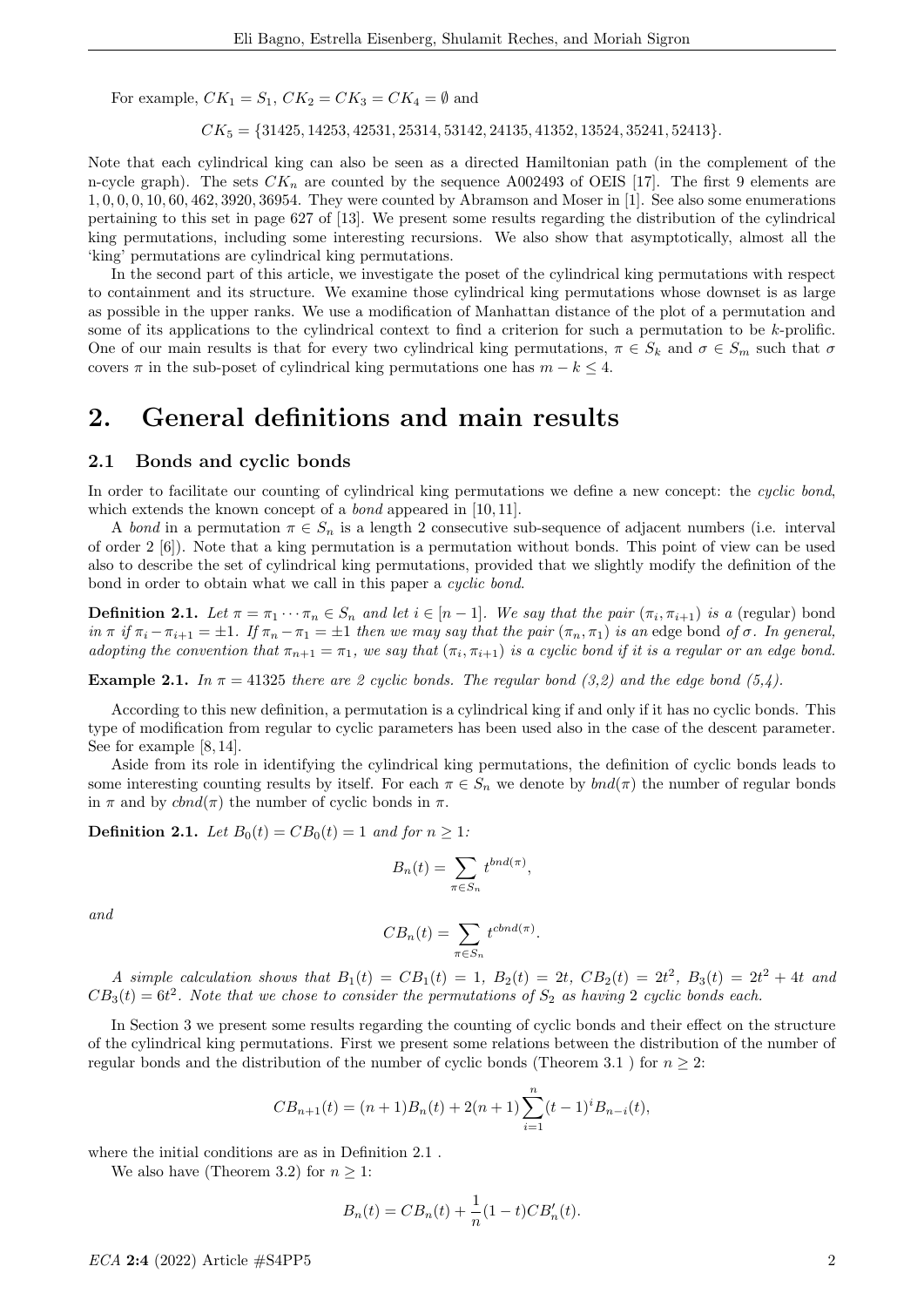For example,  $CK_1 = S_1$ ,  $CK_2 = CK_3 = CK_4 = \emptyset$  and

 $CK_5 = \{31425, 14253, 42531, 25314, 53142, 24135, 41352, 13524, 35241, 52413\}.$ 

Note that each cylindrical king can also be seen as a directed Hamiltonian path (in the complement of the n-cycle graph). The sets  $CK_n$  are counted by the sequence A002493 of OEIS [17]. The first 9 elements are 1, 0, 0, 0, 10, 60, 462, 3920, 36954. They were counted by Abramson and Moser in [1]. See also some enumerations pertaining to this set in page 627 of [13]. We present some results regarding the distribution of the cylindrical king permutations, including some interesting recursions. We also show that asymptotically, almost all the 'king' permutations are cylindrical king permutations.

In the second part of this article, we investigate the poset of the cylindrical king permutations with respect to containment and its structure. We examine those cylindrical king permutations whose downset is as large as possible in the upper ranks. We use a modification of Manhattan distance of the plot of a permutation and some of its applications to the cylindrical context to find a criterion for such a permutation to be k-prolific. One of our main results is that for every two cylindrical king permutations,  $\pi \in S_k$  and  $\sigma \in S_m$  such that  $\sigma$ covers  $\pi$  in the sub-poset of cylindrical king permutations one has  $m - k \leq 4$ .

## 2. General definitions and main results

### 2.1 Bonds and cyclic bonds

In order to facilitate our counting of cylindrical king permutations we define a new concept: the cyclic bond, which extends the known concept of a *bond* appeared in [10, 11].

A bond in a permutation  $\pi \in S_n$  is a length 2 consecutive sub-sequence of adjacent numbers (i.e. interval of order 2 [6]). Note that a king permutation is a permutation without bonds. This point of view can be used also to describe the set of cylindrical king permutations, provided that we slightly modify the definition of the bond in order to obtain what we call in this paper a cyclic bond.

**Definition 2.1.** Let  $\pi = \pi_1 \cdots \pi_n \in S_n$  and let  $i \in [n-1]$ . We say that the pair  $(\pi_i, \pi_{i+1})$  is a (regular) bond in  $\pi$  if  $\pi_i - \pi_{i+1} = \pm 1$ . If  $\pi_n - \pi_1 = \pm 1$  then we may say that the pair  $(\pi_n, \pi_1)$  is an edge bond of  $\sigma$ . In general, adopting the convention that  $\pi_{n+1} = \pi_1$ , we say that  $(\pi_i, \pi_{i+1})$  is a cyclic bond if it is a regular or an edge bond.

**Example 2.1.** In  $\pi = 41325$  there are 2 cyclic bonds. The regular bond (3,2) and the edge bond (5,4).

According to this new definition, a permutation is a cylindrical king if and only if it has no cyclic bonds. This type of modification from regular to cyclic parameters has been used also in the case of the descent parameter. See for example [8, 14].

Aside from its role in identifying the cylindrical king permutations, the definition of cyclic bonds leads to some interesting counting results by itself. For each  $\pi \in S_n$  we denote by  $bnd(\pi)$  the number of regular bonds in  $\pi$  and by  $chod(\pi)$  the number of cyclic bonds in  $\pi$ .

**Definition 2.1.** Let  $B_0(t) = CB_0(t) = 1$  and for  $n \geq 1$ :

$$
B_n(t) = \sum_{\pi \in S_n} t^{bnd(\pi)},
$$

and

$$
CB_n(t) = \sum_{\pi \in S_n} t^{chnd(\pi)}.
$$

A simple calculation shows that  $B_1(t) = CB_1(t) = 1$ ,  $B_2(t) = 2t$ ,  $CB_2(t) = 2t^2$ ,  $B_3(t) = 2t^2 + 4t$  and  $CB_3(t) = 6t^2$ . Note that we chose to consider the permutations of  $S_2$  as having 2 cyclic bonds each.

In Section 3 we present some results regarding the counting of cyclic bonds and their effect on the structure of the cylindrical king permutations. First we present some relations between the distribution of the number of regular bonds and the distribution of the number of cyclic bonds (Theorem 3.1) for  $n \geq 2$ :

$$
CB_{n+1}(t) = (n+1)B_n(t) + 2(n+1)\sum_{i=1}^n (t-1)^i B_{n-i}(t),
$$

where the initial conditions are as in Definition 2.1 .

We also have (Theorem 3.2) for  $n \geq 1$ :

$$
B_n(t) = CB_n(t) + \frac{1}{n}(1-t)CB'_n(t).
$$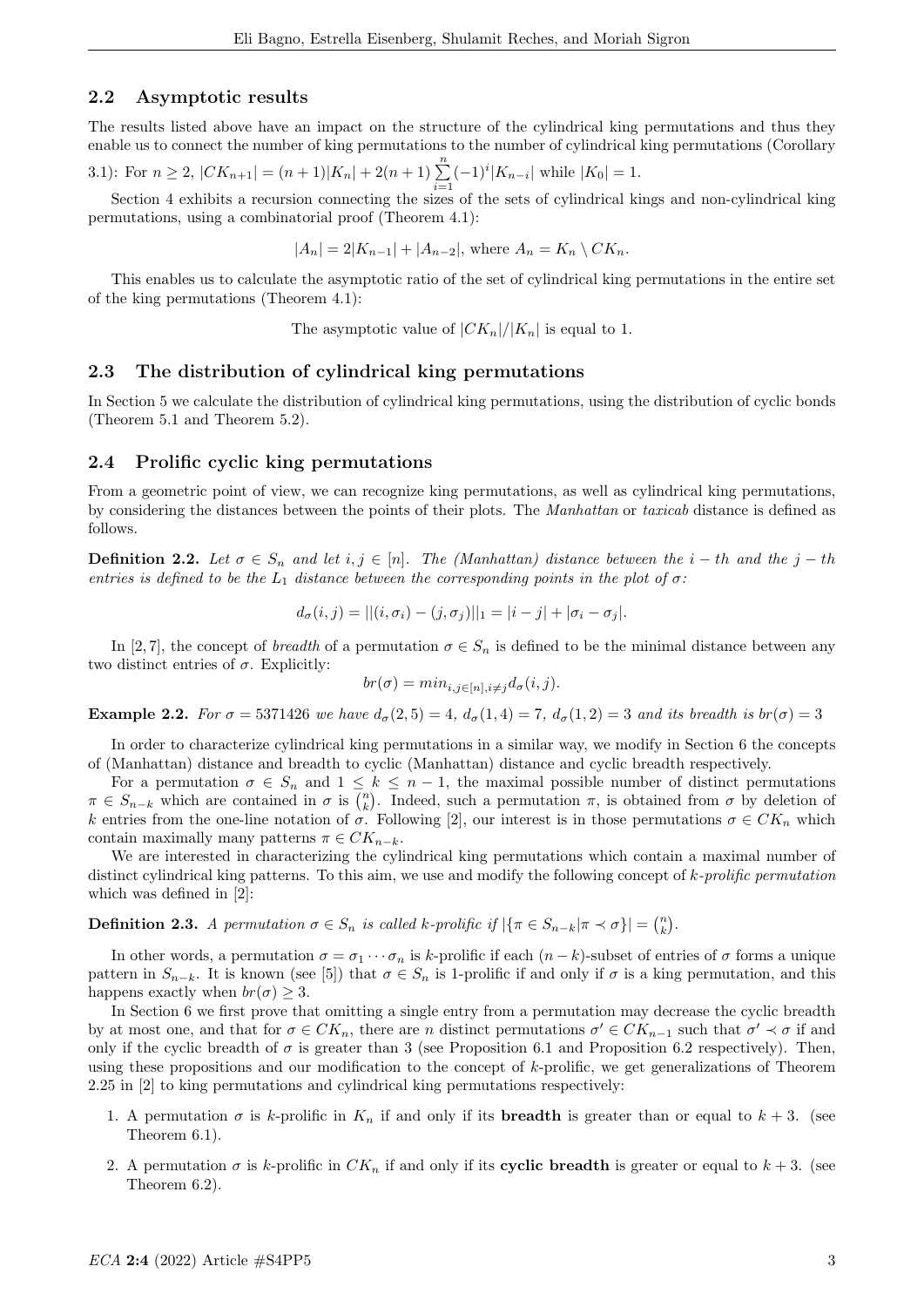## 2.2 Asymptotic results

The results listed above have an impact on the structure of the cylindrical king permutations and thus they enable us to connect the number of king permutations to the number of cylindrical king permutations (Corollary

3.1): For 
$$
n \ge 2
$$
,  $|CK_{n+1}| = (n+1)|K_n| + 2(n+1)\sum_{i=1}^n (-1)^i |K_{n-i}|$  while  $|K_0| = 1$ .

Section 4 exhibits a recursion connecting the sizes of the sets of cylindrical kings and non-cylindrical king permutations, using a combinatorial proof (Theorem 4.1):

$$
|A_n| = 2|K_{n-1}| + |A_{n-2}|, \text{ where } A_n = K_n \setminus CK_n.
$$

This enables us to calculate the asymptotic ratio of the set of cylindrical king permutations in the entire set of the king permutations (Theorem 4.1):

The asymptotic value of  $|CK_n|/|K_n|$  is equal to 1.

## 2.3 The distribution of cylindrical king permutations

In Section 5 we calculate the distribution of cylindrical king permutations, using the distribution of cyclic bonds (Theorem 5.1 and Theorem 5.2).

### 2.4 Prolific cyclic king permutations

From a geometric point of view, we can recognize king permutations, as well as cylindrical king permutations, by considering the distances between the points of their plots. The Manhattan or taxicab distance is defined as follows.

**Definition 2.2.** Let  $\sigma \in S_n$  and let  $i, j \in [n]$ . The (Manhattan) distance between the  $i - th$  and the  $j - th$ entries is defined to be the  $L_1$  distance between the corresponding points in the plot of  $\sigma$ :

$$
d_{\sigma}(i, j) = ||(i, \sigma_i) - (j, \sigma_j)||_1 = |i - j| + |\sigma_i - \sigma_j|.
$$

In [2,7], the concept of *breadth* of a permutation  $\sigma \in S_n$  is defined to be the minimal distance between any two distinct entries of  $\sigma$ . Explicitly:

$$
br(\sigma) = min_{i,j \in [n], i \neq j} d_{\sigma}(i,j).
$$

Example 2.2. For  $\sigma = 5371426$  we have  $d_{\sigma}(2,5) = 4$ ,  $d_{\sigma}(1,4) = 7$ ,  $d_{\sigma}(1,2) = 3$  and its breadth is  $br(\sigma) = 3$ 

In order to characterize cylindrical king permutations in a similar way, we modify in Section 6 the concepts of (Manhattan) distance and breadth to cyclic (Manhattan) distance and cyclic breadth respectively.

For a permutation  $\sigma \in S_n$  and  $1 \leq k \leq n-1$ , the maximal possible number of distinct permutations  $\pi \in S_{n-k}$  which are contained in  $\sigma$  is  $\binom{n}{k}$ . Indeed, such a permutation  $\pi$ , is obtained from  $\sigma$  by deletion of k entries from the one-line notation of  $\sigma$ . Following [2], our interest is in those permutations  $\sigma \in CK_n$  which contain maximally many patterns  $\pi \in CK_{n-k}$ .

We are interested in characterizing the cylindrical king permutations which contain a maximal number of distinct cylindrical king patterns. To this aim, we use and modify the following concept of k-prolific permutation which was defined in [2]:

**Definition 2.3.** A permutation  $\sigma \in S_n$  is called k-prolific if  $|\{\pi \in S_{n-k} | \pi \prec \sigma\}| = \binom{n}{k}$ .

In other words, a permutation  $\sigma = \sigma_1 \cdots \sigma_n$  is k-prolific if each  $(n-k)$ -subset of entries of  $\sigma$  forms a unique pattern in  $S_{n-k}$ . It is known (see [5]) that  $\sigma \in S_n$  is 1-prolific if and only if  $\sigma$  is a king permutation, and this happens exactly when  $br(\sigma) \geq 3$ .

In Section 6 we first prove that omitting a single entry from a permutation may decrease the cyclic breadth by at most one, and that for  $\sigma \in CK_n$ , there are n distinct permutations  $\sigma' \in CK_{n-1}$  such that  $\sigma' \prec \sigma$  if and only if the cyclic breadth of  $\sigma$  is greater than 3 (see Proposition 6.1 and Proposition 6.2 respectively). Then, using these propositions and our modification to the concept of k-prolific, we get generalizations of Theorem 2.25 in [2] to king permutations and cylindrical king permutations respectively:

- 1. A permutation  $\sigma$  is k-prolific in  $K_n$  if and only if its **breadth** is greater than or equal to  $k + 3$ . (see Theorem 6.1).
- 2. A permutation  $\sigma$  is k-prolific in  $CK_n$  if and only if its cyclic breadth is greater or equal to  $k+3$ . (see Theorem 6.2).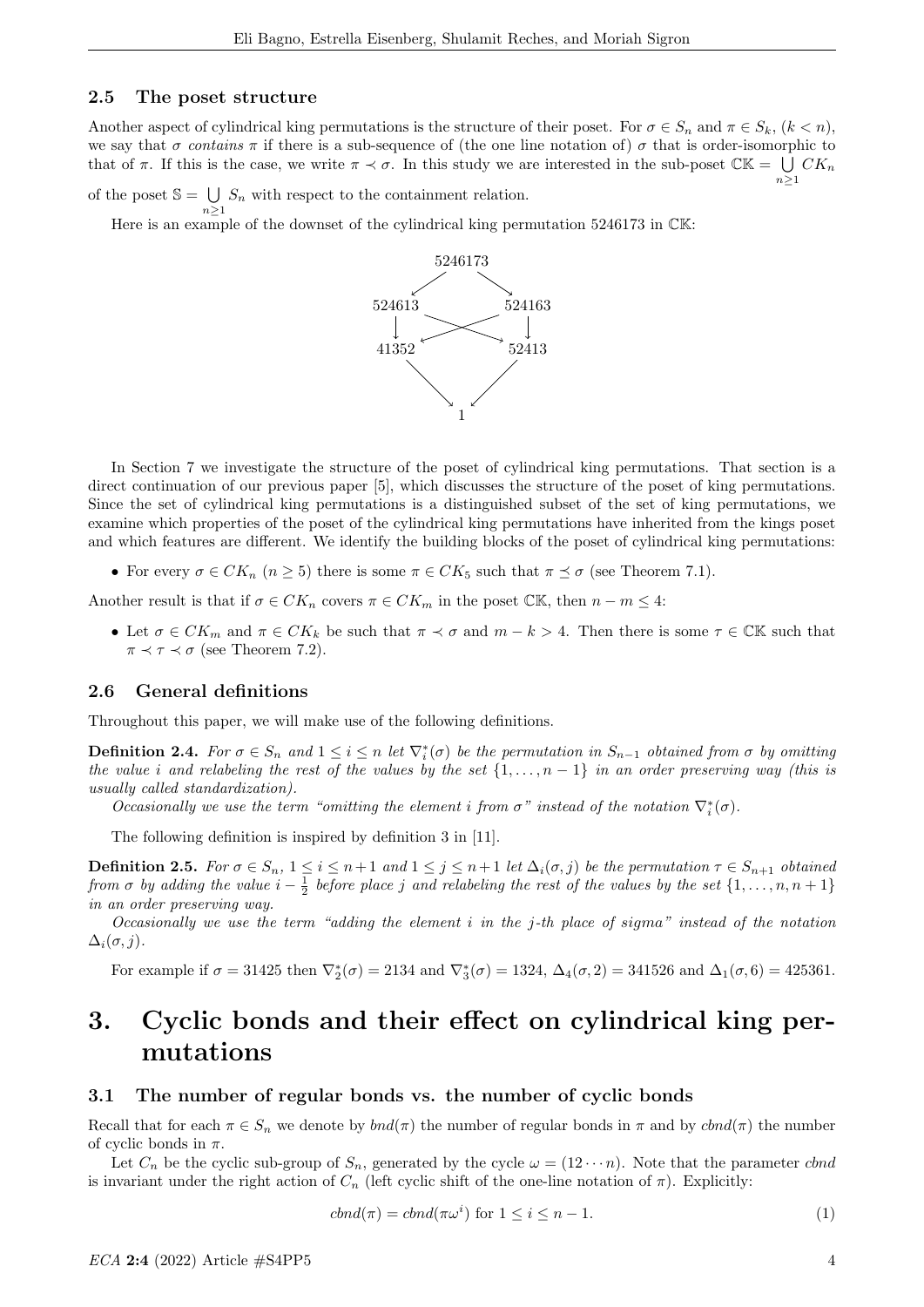## 2.5 The poset structure

Another aspect of cylindrical king permutations is the structure of their poset. For  $\sigma \in S_n$  and  $\pi \in S_k$ ,  $(k < n)$ , we say that  $\sigma$  contains  $\pi$  if there is a sub-sequence of (the one line notation of)  $\sigma$  that is order-isomorphic to that of  $\pi$ . If this is the case, we write  $\pi \prec \sigma$ . In this study we are interested in the sub-poset  $\mathbb{CK} = \bigcup CK_n$  $n>1$ 

of the poset  $\mathbb{S} = \bigcup S_n$  with respect to the containment relation.  $n>1$ 

Here is an example of the downset of the cylindrical king permutation 5246173 in  $\mathbb{CK}$ :



In Section 7 we investigate the structure of the poset of cylindrical king permutations. That section is a direct continuation of our previous paper [5], which discusses the structure of the poset of king permutations. Since the set of cylindrical king permutations is a distinguished subset of the set of king permutations, we examine which properties of the poset of the cylindrical king permutations have inherited from the kings poset and which features are different. We identify the building blocks of the poset of cylindrical king permutations:

• For every  $\sigma \in CK_n$   $(n \geq 5)$  there is some  $\pi \in CK_5$  such that  $\pi \preceq \sigma$  (see Theorem 7.1).

Another result is that if  $\sigma \in CK_n$  covers  $\pi \in CK_m$  in the poset  $\mathbb{CK}$ , then  $n - m \leq 4$ :

• Let  $\sigma \in CK_m$  and  $\pi \in CK_k$  be such that  $\pi \prec \sigma$  and  $m-k > 4$ . Then there is some  $\tau \in \mathbb{CK}$  such that  $\pi \prec \tau \prec \sigma$  (see Theorem 7.2).

### 2.6 General definitions

Throughout this paper, we will make use of the following definitions.

**Definition 2.4.** For  $\sigma \in S_n$  and  $1 \leq i \leq n$  let  $\nabla_i^*(\sigma)$  be the permutation in  $S_{n-1}$  obtained from  $\sigma$  by omitting the value i and relabeling the rest of the values by the set  $\{1,\ldots,n-1\}$  in an order preserving way (this is usually called standardization).

Occasionally we use the term "omitting the element i from  $\sigma$ " instead of the notation  $\nabla_i^*(\sigma)$ .

The following definition is inspired by definition 3 in [11].

**Definition 2.5.** For  $\sigma \in S_n$ ,  $1 \leq i \leq n+1$  and  $1 \leq j \leq n+1$  let  $\Delta_i(\sigma, j)$  be the permutation  $\tau \in S_{n+1}$  obtained from  $\sigma$  by adding the value  $i - \frac{1}{2}$  before place j and relabeling the rest of the values by the set  $\{1, \ldots, n, n+1\}$ in an order preserving way.

Occasionally we use the term "adding the element  $i$  in the j-th place of sigma" instead of the notation  $\Delta_i(\sigma, j)$ .

For example if  $\sigma = 31425$  then  $\nabla_2^*(\sigma) = 2134$  and  $\nabla_3^*(\sigma) = 1324$ ,  $\Delta_4(\sigma, 2) = 341526$  and  $\Delta_1(\sigma, 6) = 425361$ .

# 3. Cyclic bonds and their effect on cylindrical king permutations

## 3.1 The number of regular bonds vs. the number of cyclic bonds

Recall that for each  $\pi \in S_n$  we denote by  $bnd(\pi)$  the number of regular bonds in  $\pi$  and by  $cbnd(\pi)$  the number of cyclic bonds in  $\pi$ .

Let  $C_n$  be the cyclic sub-group of  $S_n$ , generated by the cycle  $\omega = (12 \cdots n)$ . Note that the parameter change is invariant under the right action of  $C_n$  (left cyclic shift of the one-line notation of  $\pi$ ). Explicitly:

$$
cbnd(\pi) = cbnd(\pi\omega^i) \text{ for } 1 \le i \le n-1.
$$
\n(1)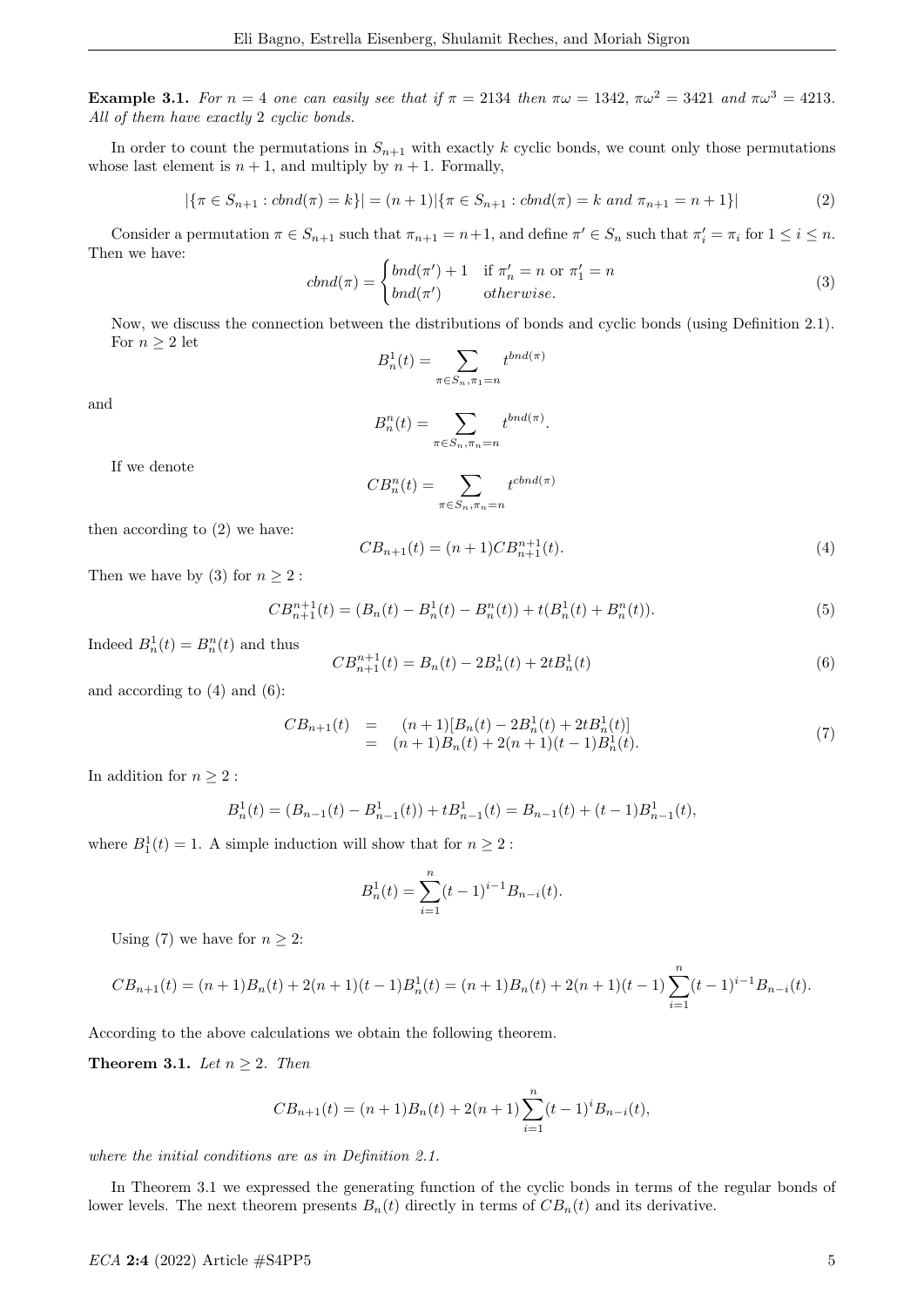Example 3.1. For  $n = 4$  one can easily see that if  $\pi = 2134$  then  $\pi \omega = 1342$ ,  $\pi \omega^2 = 3421$  and  $\pi \omega^3 = 4213$ . All of them have exactly 2 cyclic bonds.

In order to count the permutations in  $S_{n+1}$  with exactly k cyclic bonds, we count only those permutations whose last element is  $n + 1$ , and multiply by  $n + 1$ . Formally,

$$
|\{\pi \in S_{n+1} : chnd(\pi) = k\}| = (n+1)|\{\pi \in S_{n+1} : chnd(\pi) = k \text{ and } \pi_{n+1} = n+1\}|
$$
\n(2)

Consider a permutation  $\pi \in S_{n+1}$  such that  $\pi_{n+1} = n+1$ , and define  $\pi' \in S_n$  such that  $\pi'_i = \pi_i$  for  $1 \leq i \leq n$ . Then we have:

$$
cbnd(\pi) = \begin{cases} bnd(\pi') + 1 & \text{if } \pi'_n = n \text{ or } \pi'_1 = n \\ bnd(\pi') & \text{otherwise.} \end{cases}
$$
\n(3)

Now, we discuss the connection between the distributions of bonds and cyclic bonds (using Definition 2.1). For  $n \geq 2$  let

$$
B^1_n(t)=\sum_{\pi\in S_n,\pi_1=n}t^{bnd(\pi)}
$$

and

$$
B_n^n(t) = \sum_{\pi \in S_n, \pi_n = n} t^{bnd(\pi)}.
$$

If we denote

$$
CB_n^n(t) = \sum_{\pi \in S_n, \pi_n = n} t^{chnd(\pi)}
$$

then according to (2) we have:

$$
CB_{n+1}(t) = (n+1)CB_{n+1}^{n+1}(t). \tag{4}
$$

Then we have by (3) for  $n \geq 2$ :

$$
CB_{n+1}^{n+1}(t) = (B_n(t) - B_n^1(t) - B_n^n(t)) + t(B_n^1(t) + B_n^n(t)).
$$
\n(5)

Indeed  $B_n^1(t) = B_n^n(t)$  and thus

$$
CB_{n+1}^{n+1}(t) = B_n(t) - 2B_n^1(t) + 2tB_n^1(t)
$$
\n
$$
(6)
$$

and according to (4) and (6):

$$
CB_{n+1}(t) = (n+1)[B_n(t) - 2B_n^1(t) + 2tB_n^1(t)]
$$
  
=  $(n+1)B_n(t) + 2(n+1)(t-1)B_n^1(t).$  (7)

In addition for  $n \geq 2$ :

$$
B_n^1(t) = (B_{n-1}(t) - B_{n-1}^1(t)) + tB_{n-1}^1(t) = B_{n-1}(t) + (t-1)B_{n-1}^1(t),
$$

where  $B_1^1(t) = 1$ . A simple induction will show that for  $n \geq 2$ :

$$
B_n^1(t) = \sum_{i=1}^n (t-1)^{i-1} B_{n-i}(t).
$$

Using (7) we have for  $n \geq 2$ :

$$
CB_{n+1}(t) = (n+1)B_n(t) + 2(n+1)(t-1)B_n^1(t) = (n+1)B_n(t) + 2(n+1)(t-1)\sum_{i=1}^n (t-1)^{i-1}B_{n-i}(t).
$$

According to the above calculations we obtain the following theorem.

Theorem 3.1. Let  $n \geq 2$ . Then

$$
CB_{n+1}(t) = (n+1)B_n(t) + 2(n+1)\sum_{i=1}^n (t-1)^i B_{n-i}(t),
$$

where the initial conditions are as in Definition 2.1.

In Theorem 3.1 we expressed the generating function of the cyclic bonds in terms of the regular bonds of lower levels. The next theorem presents  $B_n(t)$  directly in terms of  $CB_n(t)$  and its derivative.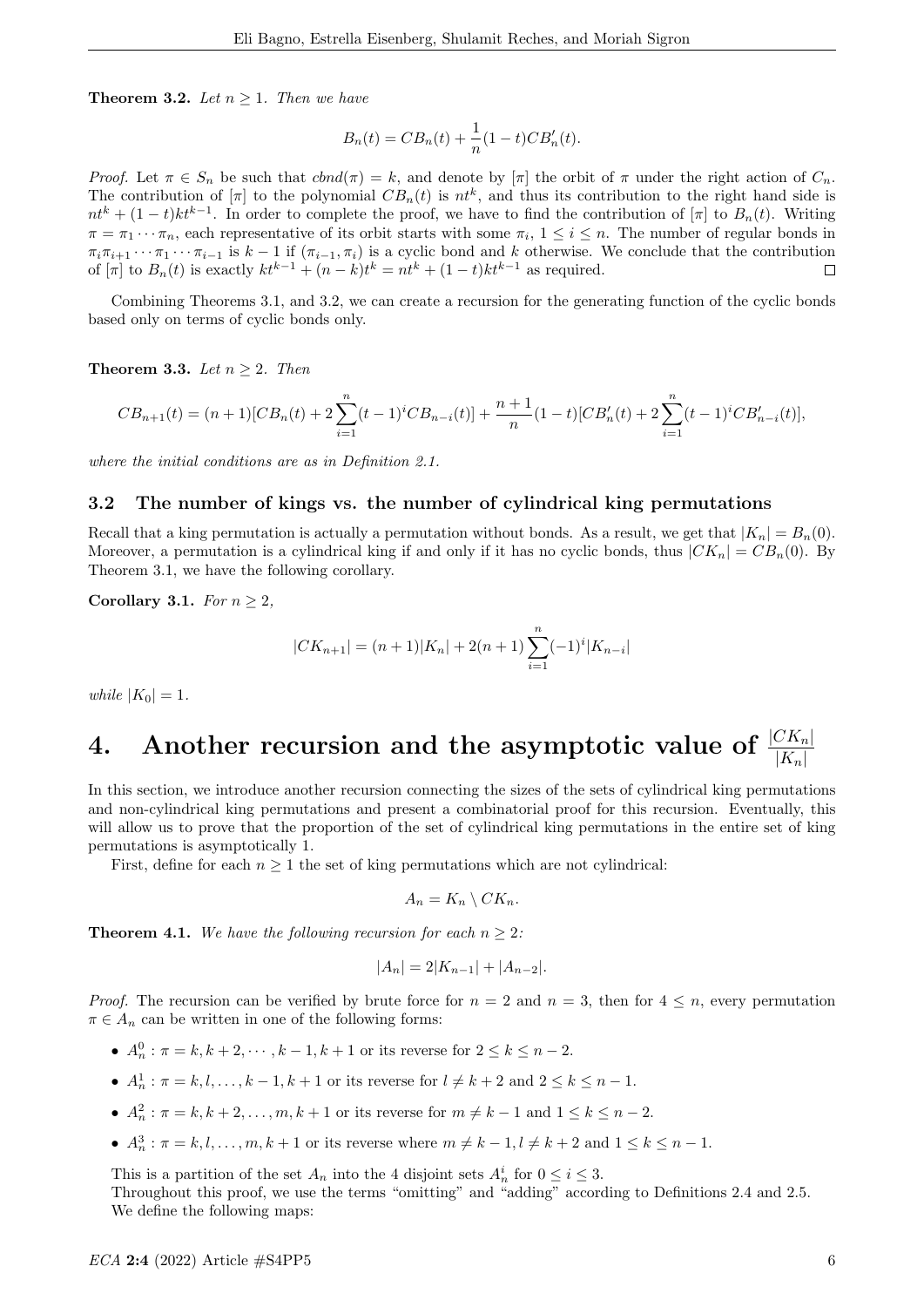**Theorem 3.2.** Let  $n \geq 1$ . Then we have

$$
B_n(t) = CB_n(t) + \frac{1}{n}(1-t)CB'_n(t).
$$

Proof. Let  $\pi \in S_n$  be such that  $chod(\pi) = k$ , and denote by  $[\pi]$  the orbit of  $\pi$  under the right action of  $C_n$ . The contribution of  $[\pi]$  to the polynomial  $CB_n(t)$  is  $nt^k$ , and thus its contribution to the right hand side is  $nt^{k} + (1-t)kt^{k-1}$ . In order to complete the proof, we have to find the contribution of  $[\pi]$  to  $B_n(t)$ . Writing  $\pi = \pi_1 \cdots \pi_n$ , each representative of its orbit starts with some  $\pi_i$ ,  $1 \leq i \leq n$ . The number of regular bonds in  $\pi_i \pi_{i+1} \cdots \pi_1 \cdots \pi_{i-1}$  is  $k-1$  if  $(\pi_{i-1}, \pi_i)$  is a cyclic bond and k otherwise. We conclude that the contribution of  $[\pi]$  to  $B_n(t)$  is exactly  $kt^{k-1} + (n-k)t^k = nt^k + (1-t)kt^{k-1}$  as required.  $\Box$ 

Combining Theorems 3.1, and 3.2, we can create a recursion for the generating function of the cyclic bonds based only on terms of cyclic bonds only.

Theorem 3.3. Let  $n > 2$ . Then

$$
CB_{n+1}(t)=(n+1)[CB_n(t)+2\sum_{i=1}^n(t-1)^iCB_{n-i}(t)]+\frac{n+1}{n}(1-t)[CB'_n(t)+2\sum_{i=1}^n(t-1)^iCB'_{n-i}(t)],
$$

where the initial conditions are as in Definition 2.1.

## 3.2 The number of kings vs. the number of cylindrical king permutations

Recall that a king permutation is actually a permutation without bonds. As a result, we get that  $|K_n| = B_n(0)$ . Moreover, a permutation is a cylindrical king if and only if it has no cyclic bonds, thus  $|CK_n| = CB_n(0)$ . By Theorem 3.1, we have the following corollary.

Corollary 3.1. For  $n \geq 2$ ,

$$
|CK_{n+1}| = (n+1)|K_n| + 2(n+1)\sum_{i=1}^n (-1)^i |K_{n-i}|
$$

while  $|K_0| = 1$ .

# 4. Another recursion and the asymptotic value of  $\frac{|CK_n|}{|K_n|}$

In this section, we introduce another recursion connecting the sizes of the sets of cylindrical king permutations and non-cylindrical king permutations and present a combinatorial proof for this recursion. Eventually, this will allow us to prove that the proportion of the set of cylindrical king permutations in the entire set of king permutations is asymptotically 1.

First, define for each  $n \geq 1$  the set of king permutations which are not cylindrical:

$$
A_n = K_n \setminus CK_n.
$$

**Theorem 4.1.** We have the following recursion for each  $n \geq 2$ :

$$
|A_n| = 2|K_{n-1}| + |A_{n-2}|.
$$

*Proof.* The recursion can be verified by brute force for  $n = 2$  and  $n = 3$ , then for  $4 \leq n$ , every permutation  $\pi \in A_n$  can be written in one of the following forms:

- $A_n^0 : \pi = k, k + 2, \dots, k 1, k + 1$  or its reverse for  $2 \le k \le n 2$ .
- $A_n^1 : \pi = k, l, \ldots, k 1, k + 1$  or its reverse for  $l \neq k + 2$  and  $2 \le k \le n 1$ .
- $A_n^2 : \pi = k, k + 2, ..., m, k + 1$  or its reverse for  $m \neq k 1$  and  $1 \leq k \leq n 2$ .
- $A_n^3$ :  $\pi = k, l, \ldots, m, k+1$  or its reverse where  $m \neq k-1, l \neq k+2$  and  $1 \leq k \leq n-1$ .

This is a partition of the set  $A_n$  into the 4 disjoint sets  $A_n^i$  for  $0 \le i \le 3$ .

Throughout this proof, we use the terms "omitting" and "adding" according to Definitions 2.4 and 2.5. We define the following maps: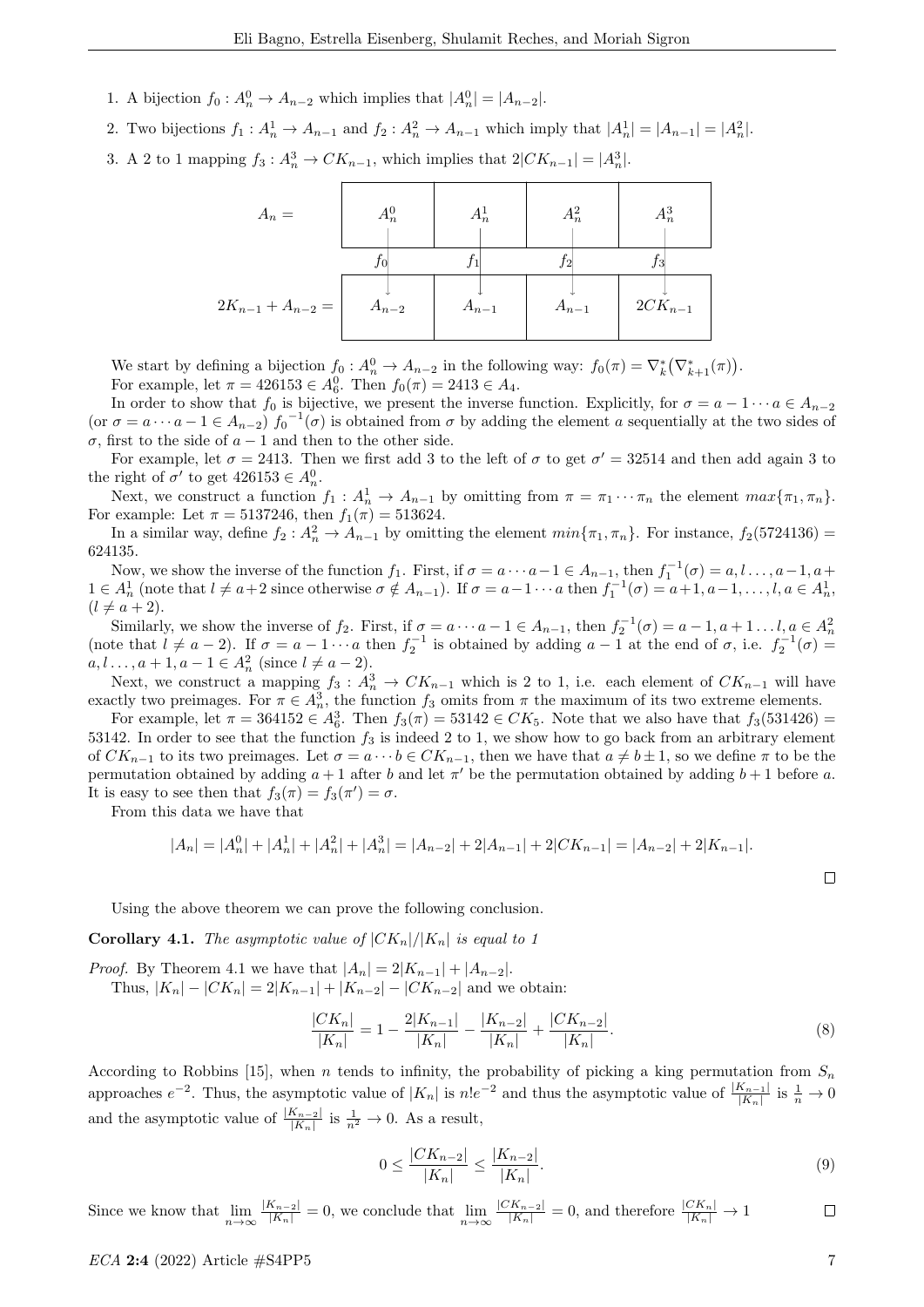- 1. A bijection  $f_0: A_n^0 \to A_{n-2}$  which implies that  $|A_n^0| = |A_{n-2}|$ .
- 2. Two bijections  $f_1: A_n^1 \to A_{n-1}$  and  $f_2: A_n^2 \to A_{n-1}$  which imply that  $|A_n^1| = |A_{n-1}| = |A_n^2|$ .
- 3. A 2 to 1 mapping  $f_3: A_n^3 \to CK_{n-1}$ , which implies that  $2|CK_{n-1}| = |A_n^3|$ .



We start by defining a bijection  $f_0: A_n^0 \to A_{n-2}$  in the following way:  $f_0(\pi) = \nabla_k^* (\nabla_{k+1}^*(\pi))$ . For example, let  $\pi = 426153 \in A_6^0$ . Then  $f_0(\pi) = 2413 \in A_4$ .

In order to show that  $f_0$  is bijective, we present the inverse function. Explicitly, for  $\sigma = a - 1 \cdots a \in A_{n-2}$ (or  $\sigma = a \cdots a - 1 \in A_{n-2}$ )  $f_0^{-1}(\sigma)$  is obtained from  $\sigma$  by adding the element a sequentially at the two sides of σ, first to the side of a − 1 and then to the other side.

For example, let  $\sigma = 2413$ . Then we first add 3 to the left of  $\sigma$  to get  $\sigma' = 32514$  and then add again 3 to the right of  $\sigma'$  to get  $426153 \in A_n^0$ .

Next, we construct a function  $f_1: A_n^1 \to A_{n-1}$  by omitting from  $\pi = \pi_1 \cdots \pi_n$  the element  $max{\pi_1, \pi_n}$ . For example: Let  $\pi = 5137246$ , then  $f_1(\pi) = 513624$ .

In a similar way, define  $f_2: A_n^2 \to A_{n-1}$  by omitting the element  $min\{\pi_1, \pi_n\}$ . For instance,  $f_2(5724136)$  = 624135.

Now, we show the inverse of the function  $f_1$ . First, if  $\sigma = a \cdots a-1 \in A_{n-1}$ , then  $f_1^{-1}(\sigma) = a, l \ldots, a-1, a+1$  $1 \in A_n^1$  (note that  $l \neq a+2$  since otherwise  $\sigma \notin A_{n-1}$ ). If  $\sigma = a-1 \cdots a$  then  $f_1^{-1}(\sigma) = a+1, a-1, \ldots, l, a \in A_n^1$ ,  $(l \neq a + 2).$ 

Similarly, we show the inverse of  $f_2$ . First, if  $\sigma = a \cdots a-1 \in A_{n-1}$ , then  $f_2^{-1}(\sigma) = a-1, a+1 \ldots l, a \in A_n^2$ <br>(note that  $l \neq a-2$ ). If  $\sigma = a-1 \cdots a$  then  $f_2^{-1}$  is obtained by adding  $a-1$  at the end of  $\sigma$ , i.e.  $f_2^{$  $a, l, ..., a + 1, a - 1 \in A_n^2 \text{ (since } l \neq a - 2).$ 

Next, we construct a mapping  $f_3: A_n^3 \to CK_{n-1}$  which is 2 to 1, i.e. each element of  $CK_{n-1}$  will have exactly two preimages. For  $\pi \in A_n^3$ , the function  $f_3$  omits from  $\pi$  the maximum of its two extreme elements.

For example, let  $\pi = 364152 \in A_6^3$ . Then  $f_3(\pi) = 53142 \in CK_5$ . Note that we also have that  $f_3(531426) =$ 53142. In order to see that the function  $f_3$  is indeed 2 to 1, we show how to go back from an arbitrary element of  $CK_{n-1}$  to its two preimages. Let  $\sigma = a \cdots b \in CK_{n-1}$ , then we have that  $a \neq b \pm 1$ , so we define  $\pi$  to be the permutation obtained by adding  $a + 1$  after b and let  $\pi'$  be the permutation obtained by adding  $b + 1$  before a. It is easy to see then that  $f_3(\pi) = f_3(\pi') = \sigma$ .

From this data we have that

$$
|A_n| = |A_n^0| + |A_n^1| + |A_n^2| + |A_n^3| = |A_{n-2}| + 2|A_{n-1}| + 2|CK_{n-1}| = |A_{n-2}| + 2|K_{n-1}|.
$$

Using the above theorem we can prove the following conclusion.

**Corollary 4.1.** The asymptotic value of  $|CK_n|/|K_n|$  is equal to 1

*Proof.* By Theorem 4.1 we have that  $|A_n| = 2|K_{n-1}| + |A_{n-2}|$ . Thus,  $|K_n| - |CK_n| = 2|K_{n-1}| + |K_{n-2}| - |CK_{n-2}|$  and we obtain:

$$
\frac{|CK_n|}{|K_n|} = 1 - \frac{2|K_{n-1}|}{|K_n|} - \frac{|K_{n-2}|}{|K_n|} + \frac{|CK_{n-2}|}{|K_n|}.
$$
\n(8)

According to Robbins [15], when n tends to infinity, the probability of picking a king permutation from  $S_n$ approaches  $e^{-2}$ . Thus, the asymptotic value of  $|K_n|$  is  $n!e^{-2}$  and thus the asymptotic value of  $\frac{|K_{n-1}|}{|K_n|}$  is  $\frac{1}{n} \to 0$ and the asymptotic value of  $\frac{|K_{n-2}|}{|K_n|}$  is  $\frac{1}{n^2} \to 0$ . As a result,

$$
0 \le \frac{|CK_{n-2}|}{|K_n|} \le \frac{|K_{n-2}|}{|K_n|}.\tag{9}
$$

Since we know that  $\lim_{n\to\infty} \frac{|K_{n-2}|}{|K_n|} = 0$ , we conclude that  $\lim_{n\to\infty} \frac{|CK_{n-2}|}{|K_n|} = 0$ , and therefore  $\frac{|CK_n|}{|K_n|} \to 1$  $\Box$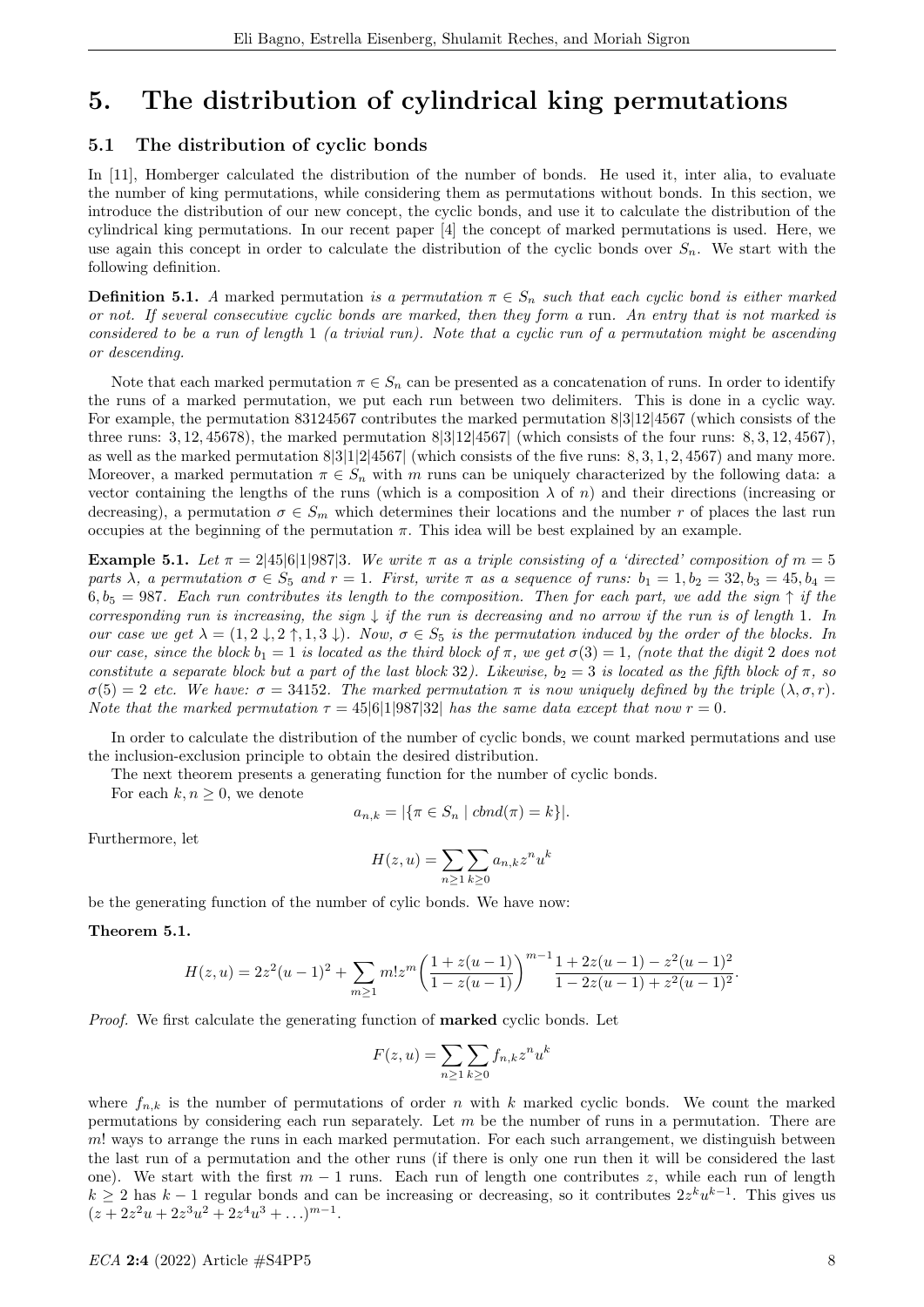## 5. The distribution of cylindrical king permutations

## 5.1 The distribution of cyclic bonds

In [11], Homberger calculated the distribution of the number of bonds. He used it, inter alia, to evaluate the number of king permutations, while considering them as permutations without bonds. In this section, we introduce the distribution of our new concept, the cyclic bonds, and use it to calculate the distribution of the cylindrical king permutations. In our recent paper [4] the concept of marked permutations is used. Here, we use again this concept in order to calculate the distribution of the cyclic bonds over  $S_n$ . We start with the following definition.

**Definition 5.1.** A marked permutation is a permutation  $\pi \in S_n$  such that each cyclic bond is either marked or not. If several consecutive cyclic bonds are marked, then they form a run. An entry that is not marked is considered to be a run of length 1 (a trivial run). Note that a cyclic run of a permutation might be ascending or descending.

Note that each marked permutation  $\pi \in S_n$  can be presented as a concatenation of runs. In order to identify the runs of a marked permutation, we put each run between two delimiters. This is done in a cyclic way. For example, the permutation 83124567 contributes the marked permutation 8|3|12|4567 (which consists of the three runs:  $3, 12, 45678$ , the marked permutation  $8|3|12|4567|$  (which consists of the four runs:  $8, 3, 12, 4567$ ), as well as the marked permutation  $8|3|1|2|4567|$  (which consists of the five runs:  $8, 3, 1, 2, 4567$ ) and many more. Moreover, a marked permutation  $\pi \in S_n$  with m runs can be uniquely characterized by the following data: a vector containing the lengths of the runs (which is a composition  $\lambda$  of n) and their directions (increasing or decreasing), a permutation  $\sigma \in S_m$  which determines their locations and the number r of places the last run occupies at the beginning of the permutation  $\pi$ . This idea will be best explained by an example.

Example 5.1. Let  $\pi = 2|45|6|1|987|3$ . We write  $\pi$  as a triple consisting of a 'directed' composition of  $m = 5$ parts  $\lambda$ , a permutation  $\sigma \in S_5$  and  $r = 1$ . First, write  $\pi$  as a sequence of runs:  $b_1 = 1$ ,  $b_2 = 32$ ,  $b_3 = 45$ ,  $b_4 =$  $6, b_5 = 987$ . Each run contributes its length to the composition. Then for each part, we add the sign  $\uparrow$  if the corresponding run is increasing, the sign  $\downarrow$  if the run is decreasing and no arrow if the run is of length 1. In our case we get  $\lambda = (1, 2 \downarrow, 2 \uparrow, 1, 3 \downarrow)$ . Now,  $\sigma \in S_5$  is the permutation induced by the order of the blocks. In our case, since the block  $b_1 = 1$  is located as the third block of  $\pi$ , we get  $\sigma(3) = 1$ , (note that the digit 2 does not constitute a separate block but a part of the last block 32). Likewise,  $b_2 = 3$  is located as the fifth block of  $\pi$ , so  $\sigma(5) = 2$  etc. We have:  $\sigma = 34152$ . The marked permutation  $\pi$  is now uniquely defined by the triple  $(\lambda, \sigma, r)$ . Note that the marked permutation  $\tau = 45|6|1|987|32|$  has the same data except that now  $r = 0$ .

In order to calculate the distribution of the number of cyclic bonds, we count marked permutations and use the inclusion-exclusion principle to obtain the desired distribution.

The next theorem presents a generating function for the number of cyclic bonds.

For each  $k, n \geq 0$ , we denote

$$
a_{n,k} = |\{\pi \in S_n \mid chnd(\pi) = k\}|.
$$

Furthermore, let

$$
H(z, u) = \sum_{n \ge 1} \sum_{k \ge 0} a_{n,k} z^n u^k
$$

be the generating function of the number of cylic bonds. We have now:

Theorem 5.1.

$$
H(z, u) = 2z2(u - 1)2 + \sum_{m \ge 1} m! zm \left( \frac{1 + z(u - 1)}{1 - z(u - 1)} \right)^{m-1} \frac{1 + 2z(u - 1) - z2(u - 1)2}{1 - 2z(u - 1) + z2(u - 1)2}
$$

Proof. We first calculate the generating function of **marked** cyclic bonds. Let

$$
F(z, u) = \sum_{n \ge 1} \sum_{k \ge 0} f_{n,k} z^n u^k
$$

where  $f_{n,k}$  is the number of permutations of order n with k marked cyclic bonds. We count the marked permutations by considering each run separately. Let  $m$  be the number of runs in a permutation. There are m! ways to arrange the runs in each marked permutation. For each such arrangement, we distinguish between the last run of a permutation and the other runs (if there is only one run then it will be considered the last one). We start with the first  $m-1$  runs. Each run of length one contributes z, while each run of length  $k \geq 2$  has  $k-1$  regular bonds and can be increasing or decreasing, so it contributes  $2z^k u^{k-1}$ . This gives us  $(z + 2z<sup>2</sup>u + 2z<sup>3</sup>u<sup>2</sup> + 2z<sup>4</sup>u<sup>3</sup> + ...)^{m-1}.$ 

.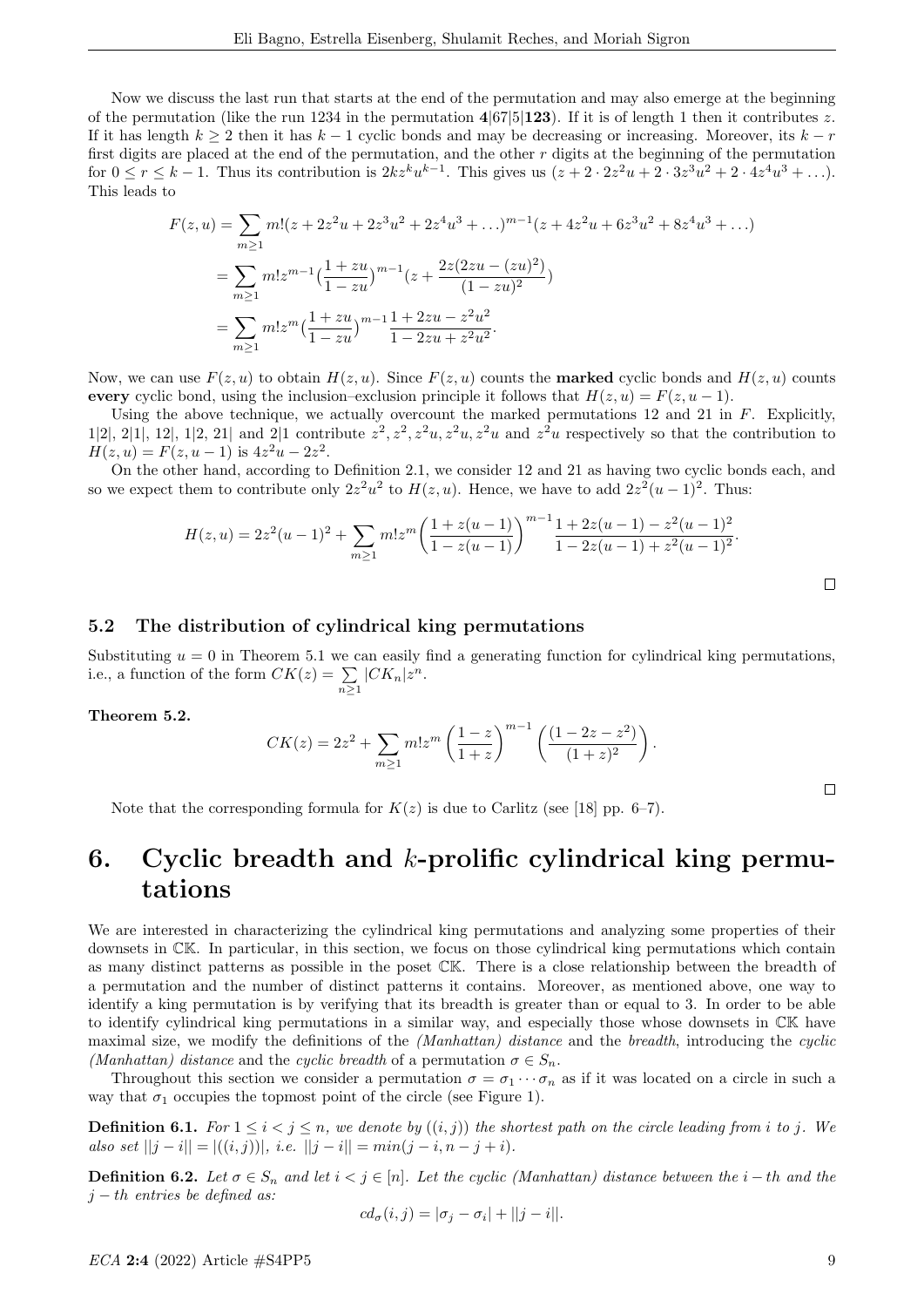Now we discuss the last run that starts at the end of the permutation and may also emerge at the beginning of the permutation (like the run 1234 in the permutation  $4|67|5|123$ ). If it is of length 1 then it contributes z. If it has length  $k \geq 2$  then it has  $k-1$  cyclic bonds and may be decreasing or increasing. Moreover, its  $k-r$ first digits are placed at the end of the permutation, and the other  $r$  digits at the beginning of the permutation for  $0 \le r \le k-1$ . Thus its contribution is  $2kz^ku^{k-1}$ . This gives us  $(z+2 \cdot 2z^2u+2 \cdot 3z^3u^2+2 \cdot 4z^4u^3+\ldots)$ . This leads to

$$
F(z, u) = \sum_{m \ge 1} m!(z + 2z^2u + 2z^3u^2 + 2z^4u^3 + \ldots)^{m-1}(z + 4z^2u + 6z^3u^2 + 8z^4u^3 + \ldots)
$$
  
= 
$$
\sum_{m \ge 1} m!z^{m-1} \Big(\frac{1 + zu}{1 - zu}\Big)^{m-1} \Big(z + \frac{2z(2zu - (zu)^2)}{(1 - zu)^2}\Big)
$$
  
= 
$$
\sum_{m \ge 1} m!z^m \Big(\frac{1 + zu}{1 - zu}\Big)^{m-1} \frac{1 + 2zu - z^2u^2}{1 - 2zu + z^2u^2}.
$$

Now, we can use  $F(z, u)$  to obtain  $H(z, u)$ . Since  $F(z, u)$  counts the **marked** cyclic bonds and  $H(z, u)$  counts every cyclic bond, using the inclusion–exclusion principle it follows that  $H(z, u) = F(z, u - 1)$ .

Using the above technique, we actually overcount the marked permutations  $12$  and  $21$  in  $F$ . Explicitly, 1|2|, 2|1|, 12|, 1|2, 21| and 2|1 contribute z 2 , z<sup>2</sup> , z2u, z2u, z2u and z <sup>2</sup>u respectively so that the contribution to  $H(z, u) = F(z, u - 1)$  is  $4z<sup>2</sup>u - 2z<sup>2</sup>$ .

On the other hand, according to Definition 2.1, we consider 12 and 21 as having two cyclic bonds each, and so we expect them to contribute only  $2z^2u^2$  to  $H(z, u)$ . Hence, we have to add  $2z^2(u-1)^2$ . Thus:

$$
H(z, u) = 2z2(u - 1)2 + \sum_{m \ge 1} m! zm \left( \frac{1 + z(u - 1)}{1 - z(u - 1)} \right)^{m-1} \frac{1 + 2z(u - 1) - z2(u - 1)2}{1 - 2z(u - 1) + z2(u - 1)2}.
$$

### 5.2 The distribution of cylindrical king permutations

Substituting  $u = 0$  in Theorem 5.1 we can easily find a generating function for cylindrical king permutations, i.e., a function of the form  $CK(z) = \sum$  $\sum_{n\geq 1} |CK_n| z^n.$ 

#### Theorem 5.2.

$$
CK(z) = 2z^{2} + \sum_{m \ge 1} m! z^{m} \left(\frac{1-z}{1+z}\right)^{m-1} \left(\frac{(1-2z-z^{2})}{(1+z)^{2}}\right).
$$

Note that the corresponding formula for  $K(z)$  is due to Carlitz (see [18] pp. 6–7).

# 6. Cyclic breadth and  $k$ -prolific cylindrical king permutations

We are interested in characterizing the cylindrical king permutations and analyzing some properties of their downsets in CK. In particular, in this section, we focus on those cylindrical king permutations which contain as many distinct patterns as possible in the poset CK. There is a close relationship between the breadth of a permutation and the number of distinct patterns it contains. Moreover, as mentioned above, one way to identify a king permutation is by verifying that its breadth is greater than or equal to 3. In order to be able to identify cylindrical king permutations in a similar way, and especially those whose downsets in CK have maximal size, we modify the definitions of the *(Manhattan)* distance and the breadth, introducing the cyclic (Manhattan) distance and the cyclic breadth of a permutation  $\sigma \in S_n$ .

Throughout this section we consider a permutation  $\sigma = \sigma_1 \cdots \sigma_n$  as if it was located on a circle in such a way that  $\sigma_1$  occupies the topmost point of the circle (see Figure 1).

**Definition 6.1.** For  $1 \leq i \leq j \leq n$ , we denote by  $((i, j))$  the shortest path on the circle leading from i to j. We also set  $||j - i|| = |((i, j))|$ , i.e.  $||j - i|| = min(j - i, n - j + i)$ .

Definition 6.2. Let  $\sigma \in S_n$  and let  $i < j \in [n]$ . Let the cyclic (Manhattan) distance between the i − th and the  $j - th$  entries be defined as:

$$
cd_{\sigma}(i,j) = |\sigma_j - \sigma_i| + ||j - i||.
$$

 $\Box$ 

 $\Box$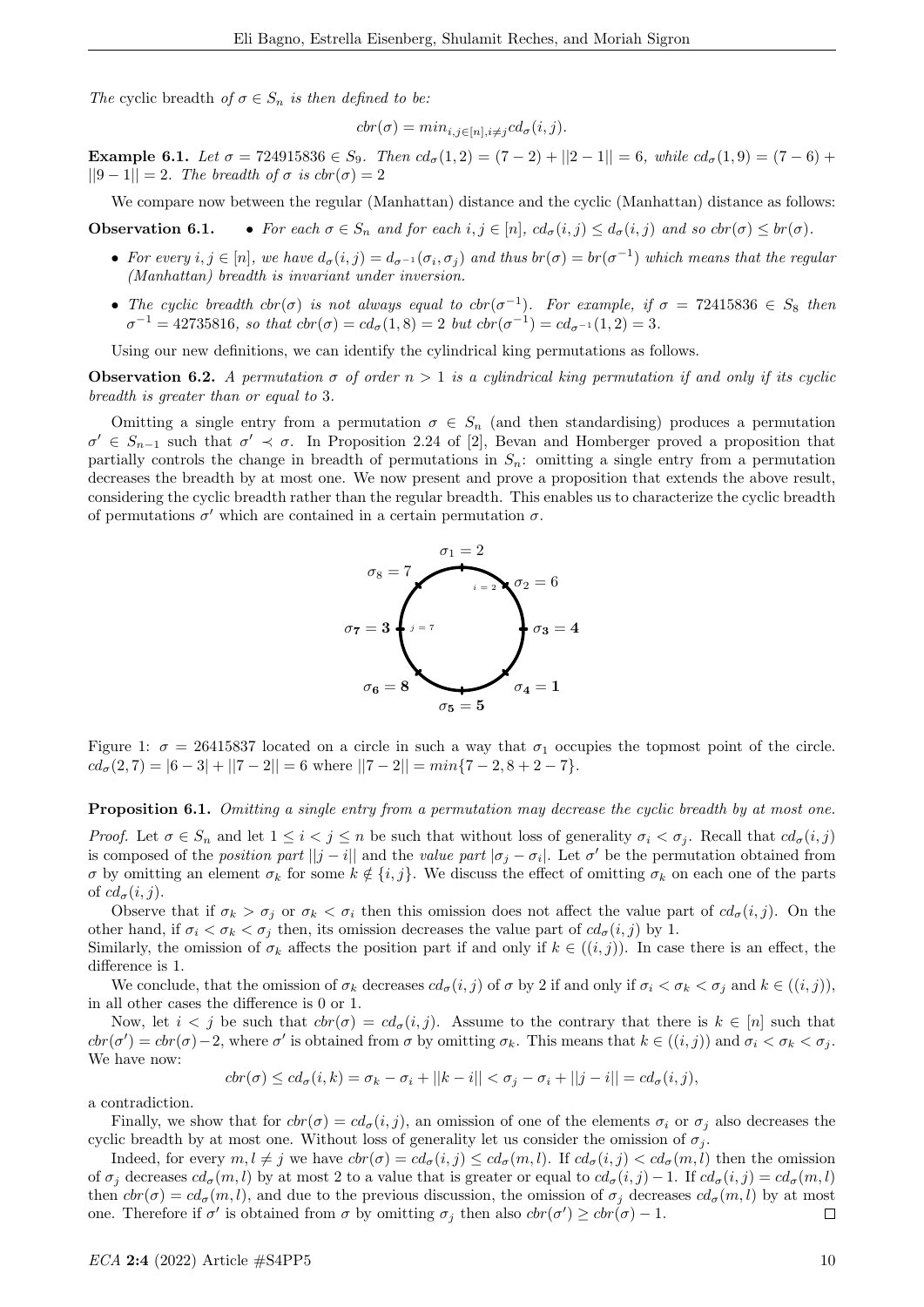The cyclic breadth of  $\sigma \in S_n$  is then defined to be:

$$
cbr(\sigma) = min_{i,j \in [n], i \neq j} cd_{\sigma}(i,j).
$$

Example 6.1. Let  $\sigma = 724915836 \in S_9$ . Then  $cd_{\sigma}(1,2) = (7-2) + ||2-1|| = 6$ , while  $cd_{\sigma}(1,9) = (7-6) +$  $||9-1||=2$ . The breadth of  $\sigma$  is  $cbr(\sigma)=2$ 

We compare now between the regular (Manhattan) distance and the cyclic (Manhattan) distance as follows:

**Observation 6.1.** • For each  $\sigma \in S_n$  and for each  $i, j \in [n]$ ,  $cd_{\sigma}(i, j) \leq d_{\sigma}(i, j)$  and so  $cbr(\sigma) \leq br(\sigma)$ .

- For every  $i, j \in [n]$ , we have  $d_{\sigma}(i, j) = d_{\sigma^{-1}}(\sigma_i, \sigma_j)$  and thus  $br(\sigma) = br(\sigma^{-1})$  which means that the regular (Manhattan) breadth is invariant under inversion.
- The cyclic breadth  $ctr(\sigma)$  is not always equal to  $ctr(\sigma^{-1})$ . For example, if  $\sigma = 72415836 \in S_8$  then  $\sigma^{-1} = 42735816$ , so that  $\text{cbr}(\sigma) = \text{cd}_{\sigma}(1,8) = 2$  but  $\text{cbr}(\sigma^{-1}) = \text{cd}_{\sigma^{-1}}(1,2) = 3$ .

Using our new definitions, we can identify the cylindrical king permutations as follows.

**Observation 6.2.** A permutation  $\sigma$  of order  $n > 1$  is a cylindrical king permutation if and only if its cyclic breadth is greater than or equal to 3.

Omitting a single entry from a permutation  $\sigma \in S_n$  (and then standardising) produces a permutation  $\sigma' \in S_{n-1}$  such that  $\sigma' \prec \sigma$ . In Proposition 2.24 of [2], Bevan and Homberger proved a proposition that partially controls the change in breadth of permutations in  $S_n$ : omitting a single entry from a permutation decreases the breadth by at most one. We now present and prove a proposition that extends the above result, considering the cyclic breadth rather than the regular breadth. This enables us to characterize the cyclic breadth of permutations  $\sigma'$  which are contained in a certain permutation  $\sigma$ .



Figure 1:  $\sigma = 26415837$  located on a circle in such a way that  $\sigma_1$  occupies the topmost point of the circle.  $cd_{\sigma}(2, 7) = |6 - 3| + ||7 - 2|| = 6$  where  $||7 - 2|| = min\{7 - 2, 8 + 2 - 7\}.$ 

Proposition 6.1. Omitting a single entry from a permutation may decrease the cyclic breadth by at most one.

Proof. Let  $\sigma \in S_n$  and let  $1 \leq i < j \leq n$  be such that without loss of generality  $\sigma_i < \sigma_j$ . Recall that  $cd_{\sigma}(i, j)$ is composed of the *position part*  $||j - i||$  and the value part  $|\sigma_j - \sigma_i|$ . Let  $\sigma'$  be the permutation obtained from σ by omitting an element σ<sub>k</sub> for some  $k \notin \{i, j\}$ . We discuss the effect of omitting σ<sub>k</sub> on each one of the parts of  $cd_{\sigma}(i, j)$ .

Observe that if  $\sigma_k > \sigma_j$  or  $\sigma_k < \sigma_i$  then this omission does not affect the value part of  $cd_{\sigma}(i, j)$ . On the other hand, if  $\sigma_i < \sigma_k < \sigma_j$  then, its omission decreases the value part of  $cd_{\sigma}(i, j)$  by 1.

Similarly, the omission of  $\sigma_k$  affects the position part if and only if  $k \in ((i, j))$ . In case there is an effect, the difference is 1.

We conclude, that the omission of  $\sigma_k$  decreases  $cd_{\sigma}(i, j)$  of  $\sigma$  by 2 if and only if  $\sigma_i < \sigma_k < \sigma_j$  and  $k \in ((i, j)),$ in all other cases the difference is 0 or 1.

Now, let  $i < j$  be such that  $cbr(\sigma) = cd_{\sigma}(i, j)$ . Assume to the contrary that there is  $k \in [n]$  such that  $\text{cbr}(\sigma') = \text{cbr}(\sigma) - 2$ , where  $\sigma'$  is obtained from  $\sigma$  by omitting  $\sigma_k$ . This means that  $k \in ((i, j))$  and  $\sigma_i < \sigma_k < \sigma_j$ . We have now:

$$
cbr(\sigma) \le cd_{\sigma}(i,k) = \sigma_k - \sigma_i + ||k - i|| < \sigma_j - \sigma_i + ||j - i|| = cd_{\sigma}(i,j),
$$

a contradiction.

Finally, we show that for  $cbr(\sigma) = cd_{\sigma}(i, j)$ , an omission of one of the elements  $\sigma_i$  or  $\sigma_j$  also decreases the cyclic breadth by at most one. Without loss of generality let us consider the omission of  $\sigma_j$ .

Indeed, for every  $m, l \neq j$  we have  $ctr(\sigma) = cd_{\sigma}(i, j) \leq cd_{\sigma}(m, l)$ . If  $cd_{\sigma}(i, j) < cd_{\sigma}(m, l)$  then the omission of  $\sigma_j$  decreases  $cd_{\sigma}(m, l)$  by at most 2 to a value that is greater or equal to  $cd_{\sigma}(i, j) - 1$ . If  $cd_{\sigma}(i, j) = cd_{\sigma}(m, l)$ then  $ctr(\sigma) = cd_{\sigma}(m, l)$ , and due to the previous discussion, the omission of  $\sigma_i$  decreases  $cd_{\sigma}(m, l)$  by at most one. Therefore if  $\sigma'$  is obtained from  $\sigma$  by omitting  $\sigma_j$  then also  $\text{cbr}(\sigma') \geq \text{cbr}(\sigma) - 1$ .  $\Box$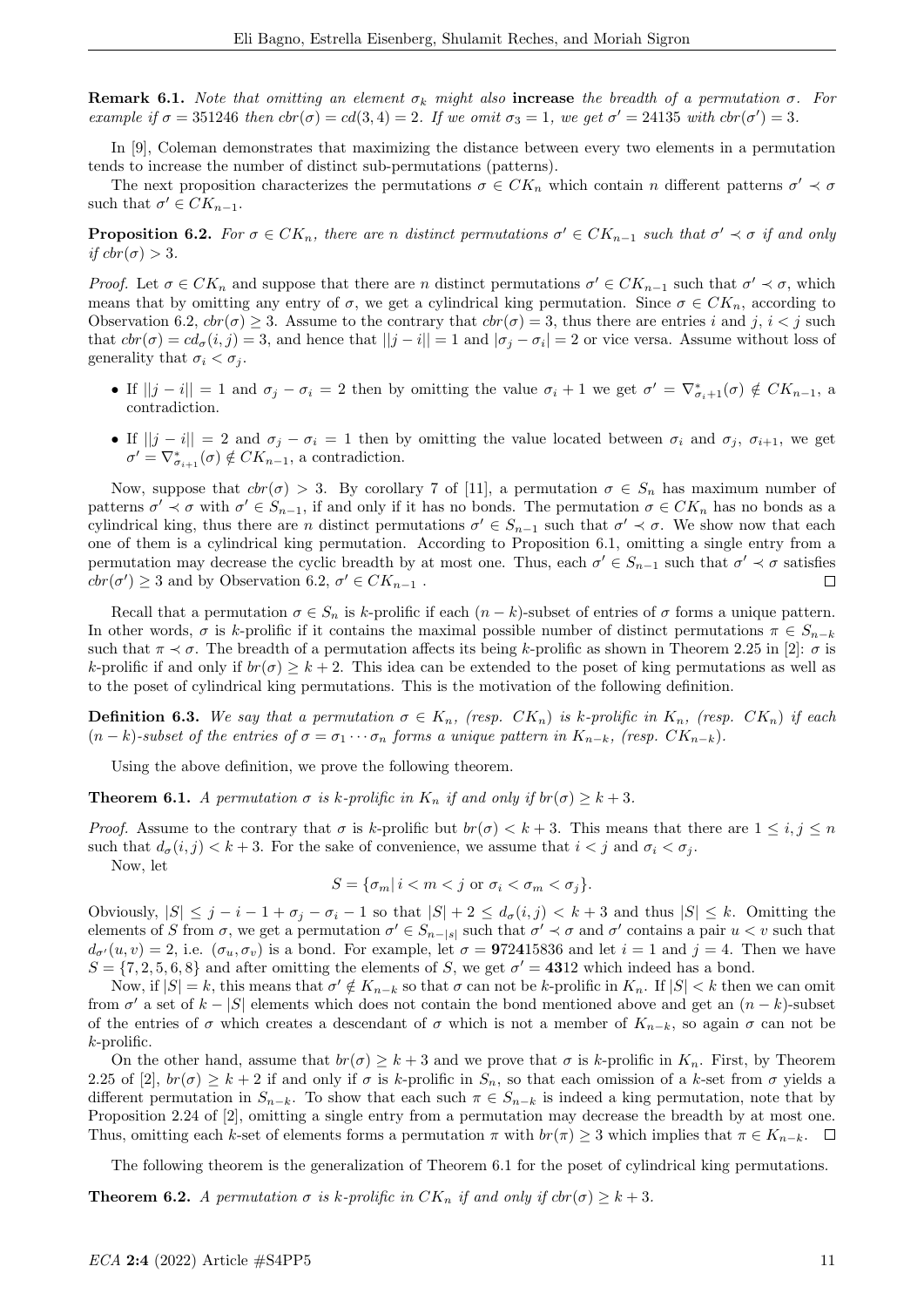**Remark 6.1.** Note that omitting an element  $\sigma_k$  might also **increase** the breadth of a permutation  $\sigma$ . For example if  $\sigma = 351246$  then  $ctr(\sigma) = cd(3, 4) = 2$ . If we omit  $\sigma_3 = 1$ , we get  $\sigma' = 24135$  with  $ctr(\sigma') = 3$ .

In [9], Coleman demonstrates that maximizing the distance between every two elements in a permutation tends to increase the number of distinct sub-permutations (patterns).

The next proposition characterizes the permutations  $\sigma \in CK_n$  which contain n different patterns  $\sigma' \prec \sigma$ such that  $\sigma' \in CK_{n-1}$ .

**Proposition 6.2.** For  $\sigma \in CK_n$ , there are n distinct permutations  $\sigma' \in CK_{n-1}$  such that  $\sigma' \prec \sigma$  if and only if  $cbr(\sigma) > 3$ .

Proof. Let  $\sigma \in CK_n$  and suppose that there are n distinct permutations  $\sigma' \in CK_{n-1}$  such that  $\sigma' \prec \sigma$ , which means that by omitting any entry of  $\sigma$ , we get a cylindrical king permutation. Since  $\sigma \in CK_n$ , according to Observation 6.2,  $\text{ch}(0) > 3$ . Assume to the contrary that  $\text{ch}(0) = 3$ , thus there are entries i and j, i < j such that  $ctr(\sigma) = cd_{\sigma}(i, j) = 3$ , and hence that  $||j - i|| = 1$  and  $|\sigma_j - \sigma_i| = 2$  or vice versa. Assume without loss of generality that  $\sigma_i < \sigma_j$ .

- If  $||j i|| = 1$  and  $\sigma_j \sigma_i = 2$  then by omitting the value  $\sigma_i + 1$  we get  $\sigma' = \nabla_{\sigma_i+1}^*(\sigma) \notin CK_{n-1}$ , a contradiction.
- If  $||j i|| = 2$  and  $\sigma_j \sigma_i = 1$  then by omitting the value located between  $\sigma_i$  and  $\sigma_j$ ,  $\sigma_{i+1}$ , we get  $\sigma' = \nabla^*_{\sigma_{i+1}}(\sigma) \notin CK_{n-1}$ , a contradiction.

Now, suppose that  $\text{cbr}(\sigma) > 3$ . By corollary 7 of [11], a permutation  $\sigma \in S_n$  has maximum number of patterns  $\sigma' \prec \sigma$  with  $\sigma' \in S_{n-1}$ , if and only if it has no bonds. The permutation  $\sigma \in CK_n$  has no bonds as a cylindrical king, thus there are n distinct permutations  $\sigma' \in S_{n-1}$  such that  $\sigma' \prec \sigma$ . We show now that each one of them is a cylindrical king permutation. According to Proposition 6.1, omitting a single entry from a permutation may decrease the cyclic breadth by at most one. Thus, each  $\sigma' \in S_{n-1}$  such that  $\sigma' \prec \sigma$  satisfies  $ctr(\sigma') \geq 3$  and by Observation 6.2,  $\sigma' \in CK_{n-1}$ .  $\Box$ 

Recall that a permutation  $\sigma \in S_n$  is k-prolific if each  $(n-k)$ -subset of entries of  $\sigma$  forms a unique pattern. In other words,  $\sigma$  is k-prolific if it contains the maximal possible number of distinct permutations  $\pi \in S_{n-k}$ such that  $\pi \prec \sigma$ . The breadth of a permutation affects its being k-prolific as shown in Theorem 2.25 in [2]:  $\sigma$  is k-prolific if and only if  $br(\sigma) \geq k+2$ . This idea can be extended to the poset of king permutations as well as to the poset of cylindrical king permutations. This is the motivation of the following definition.

**Definition 6.3.** We say that a permutation  $\sigma \in K_n$ , (resp.  $CK_n$ ) is k-prolific in  $K_n$ , (resp.  $CK_n$ ) if each  $(n-k)$ -subset of the entries of  $\sigma = \sigma_1 \cdots \sigma_n$  forms a unique pattern in  $K_{n-k}$ , (resp.  $CK_{n-k}$ ).

Using the above definition, we prove the following theorem.

**Theorem 6.1.** A permutation  $\sigma$  is k-prolific in  $K_n$  if and only if  $br(\sigma) \geq k+3$ .

*Proof.* Assume to the contrary that  $\sigma$  is k-prolific but  $br(\sigma) < k+3$ . This means that there are  $1 \le i, j \le n$ such that  $d_{\sigma}(i, j) < k + 3$ . For the sake of convenience, we assume that  $i < j$  and  $\sigma_i < \sigma_j$ . Now, let

$$
S = \{\sigma_m | i < m < j \text{ or } \sigma_i < \sigma_m < \sigma_j\}.
$$

Obviously,  $|S| \leq j - i - 1 + \sigma_i - \sigma_i - 1$  so that  $|S| + 2 \leq d_{\sigma}(i, j) < k + 3$  and thus  $|S| \leq k$ . Omitting the elements of S from  $\sigma$ , we get a permutation  $\sigma' \in S_{n-|s|}$  such that  $\sigma' \prec \sigma$  and  $\sigma'$  contains a pair  $u < v$  such that  $d_{\sigma}(u, v) = 2$ , i.e.  $(\sigma_u, \sigma_v)$  is a bond. For example, let  $\sigma = 972415836$  and let  $i = 1$  and  $j = 4$ . Then we have  $S = \{7, 2, 5, 6, 8\}$  and after omitting the elements of S, we get  $\sigma' = 4312$  which indeed has a bond.

Now, if  $|S| = k$ , this means that  $\sigma' \notin K_{n-k}$  so that  $\sigma$  can not be k-prolific in  $K_n$ . If  $|S| < k$  then we can omit from  $\sigma'$  a set of  $k - |S|$  elements which does not contain the bond mentioned above and get an  $(n - k)$ -subset of the entries of  $\sigma$  which creates a descendant of  $\sigma$  which is not a member of  $K_{n-k}$ , so again  $\sigma$  can not be  $k$ -prolific.

On the other hand, assume that  $br(\sigma) \geq k+3$  and we prove that  $\sigma$  is k-prolific in  $K_n$ . First, by Theorem 2.25 of [2],  $br(\sigma) > k + 2$  if and only if  $\sigma$  is k-prolific in  $S_n$ , so that each omission of a k-set from  $\sigma$  yields a different permutation in  $S_{n-k}$ . To show that each such  $\pi \in S_{n-k}$  is indeed a king permutation, note that by Proposition 2.24 of [2], omitting a single entry from a permutation may decrease the breadth by at most one. Thus, omitting each k-set of elements forms a permutation  $\pi$  with  $br(\pi) \geq 3$  which implies that  $\pi \in K_{n-k}$ .  $\square$ 

The following theorem is the generalization of Theorem 6.1 for the poset of cylindrical king permutations.

**Theorem 6.2.** A permutation  $\sigma$  is k-prolific in  $CK_n$  if and only if  $\text{cbr}(\sigma) \geq k+3$ .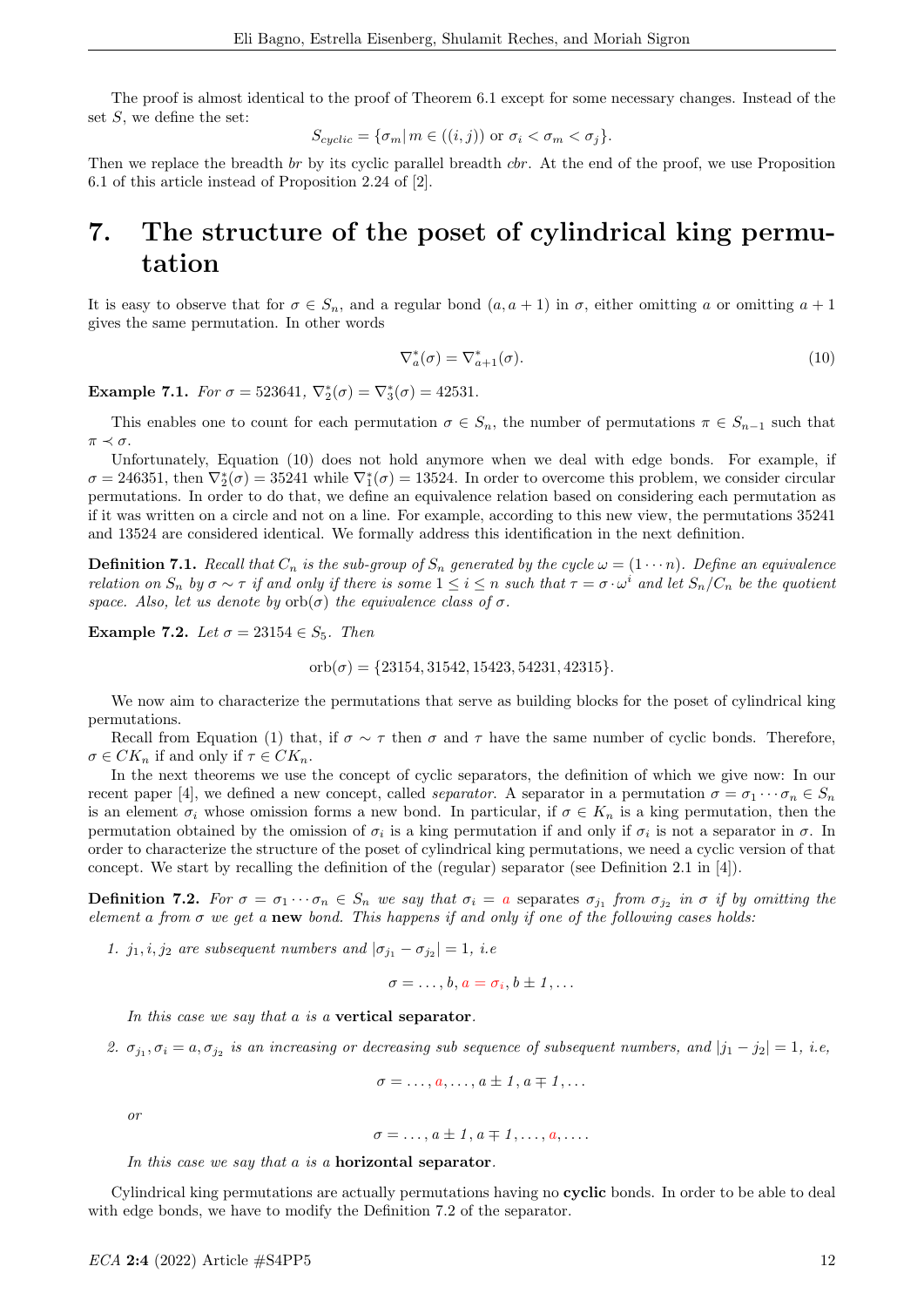The proof is almost identical to the proof of Theorem 6.1 except for some necessary changes. Instead of the set  $S$ , we define the set:

$$
S_{cyclic} = \{ \sigma_m | m \in ((i, j)) \text{ or } \sigma_i < \sigma_m < \sigma_j \}.
$$

Then we replace the breadth br by its cyclic parallel breadth cbr. At the end of the proof, we use Proposition 6.1 of this article instead of Proposition 2.24 of [2].

# 7. The structure of the poset of cylindrical king permutation

It is easy to observe that for  $\sigma \in S_n$ , and a regular bond  $(a, a + 1)$  in  $\sigma$ , either omitting a or omitting  $a + 1$ gives the same permutation. In other words

$$
\nabla_a^*(\sigma) = \nabla_{a+1}^*(\sigma). \tag{10}
$$

Example 7.1. For  $\sigma = 523641$ ,  $\nabla_2^*(\sigma) = \nabla_3^*(\sigma) = 42531$ .

This enables one to count for each permutation  $\sigma \in S_n$ , the number of permutations  $\pi \in S_{n-1}$  such that  $\pi \prec \sigma$ .

Unfortunately, Equation (10) does not hold anymore when we deal with edge bonds. For example, if  $\sigma = 246351$ , then  $\nabla_2^*(\sigma) = 35241$  while  $\nabla_1^*(\sigma) = 13524$ . In order to overcome this problem, we consider circular permutations. In order to do that, we define an equivalence relation based on considering each permutation as if it was written on a circle and not on a line. For example, according to this new view, the permutations 35241 and 13524 are considered identical. We formally address this identification in the next definition.

**Definition 7.1.** Recall that  $C_n$  is the sub-group of  $S_n$  generated by the cycle  $\omega = (1 \cdots n)$ . Define an equivalence relation on  $S_n$  by  $\sigma \sim \tau$  if and only if there is some  $1 \leq i \leq n$  such that  $\tau = \sigma \cdot \omega^i$  and let  $S_n/C_n$  be the quotient space. Also, let us denote by  $orb(\sigma)$  the equivalence class of  $\sigma$ .

Example 7.2. Let  $\sigma = 23154 \in S_5$ . Then

orb $(\sigma) = \{23154, 31542, 15423, 54231, 42315\}.$ 

We now aim to characterize the permutations that serve as building blocks for the poset of cylindrical king permutations.

Recall from Equation (1) that, if  $\sigma \sim \tau$  then  $\sigma$  and  $\tau$  have the same number of cyclic bonds. Therefore,  $\sigma \in CK_n$  if and only if  $\tau \in CK_n$ .

In the next theorems we use the concept of cyclic separators, the definition of which we give now: In our recent paper [4], we defined a new concept, called *separator*. A separator in a permutation  $\sigma = \sigma_1 \cdots \sigma_n \in S_n$ is an element  $\sigma_i$  whose omission forms a new bond. In particular, if  $\sigma \in K_n$  is a king permutation, then the permutation obtained by the omission of  $\sigma_i$  is a king permutation if and only if  $\sigma_i$  is not a separator in  $\sigma$ . In order to characterize the structure of the poset of cylindrical king permutations, we need a cyclic version of that concept. We start by recalling the definition of the (regular) separator (see Definition 2.1 in [4]).

**Definition 7.2.** For  $\sigma = \sigma_1 \cdots \sigma_n \in S_n$  we say that  $\sigma_i = a$  separates  $\sigma_{j_1}$  from  $\sigma_{j_2}$  in  $\sigma$  if by omitting the element a from  $\sigma$  we get a new bond. This happens if and only if one of the following cases holds:

1.  $j_1, i, j_2$  are subsequent numbers and  $|\sigma_{j_1} - \sigma_{j_2}| = 1$ , i.e.

 $\sigma=\ldots,b, a=\sigma_i, b\pm 1,\ldots$ 

In this case we say that a is a vertical separator.

2.  $\sigma_{j_1}, \sigma_i = a, \sigma_{j_2}$  is an increasing or decreasing sub sequence of subsequent numbers, and  $|j_1 - j_2| = 1$ , i.e,

$$
\sigma=\ldots,a,\ldots,a\pm 1,a\mp 1,\ldots
$$

or

$$
\sigma = \ldots, a \pm 1, a \mp 1, \ldots, a, \ldots
$$

In this case we say that a is a **horizontal separator**.

Cylindrical king permutations are actually permutations having no cyclic bonds. In order to be able to deal with edge bonds, we have to modify the Definition 7.2 of the separator.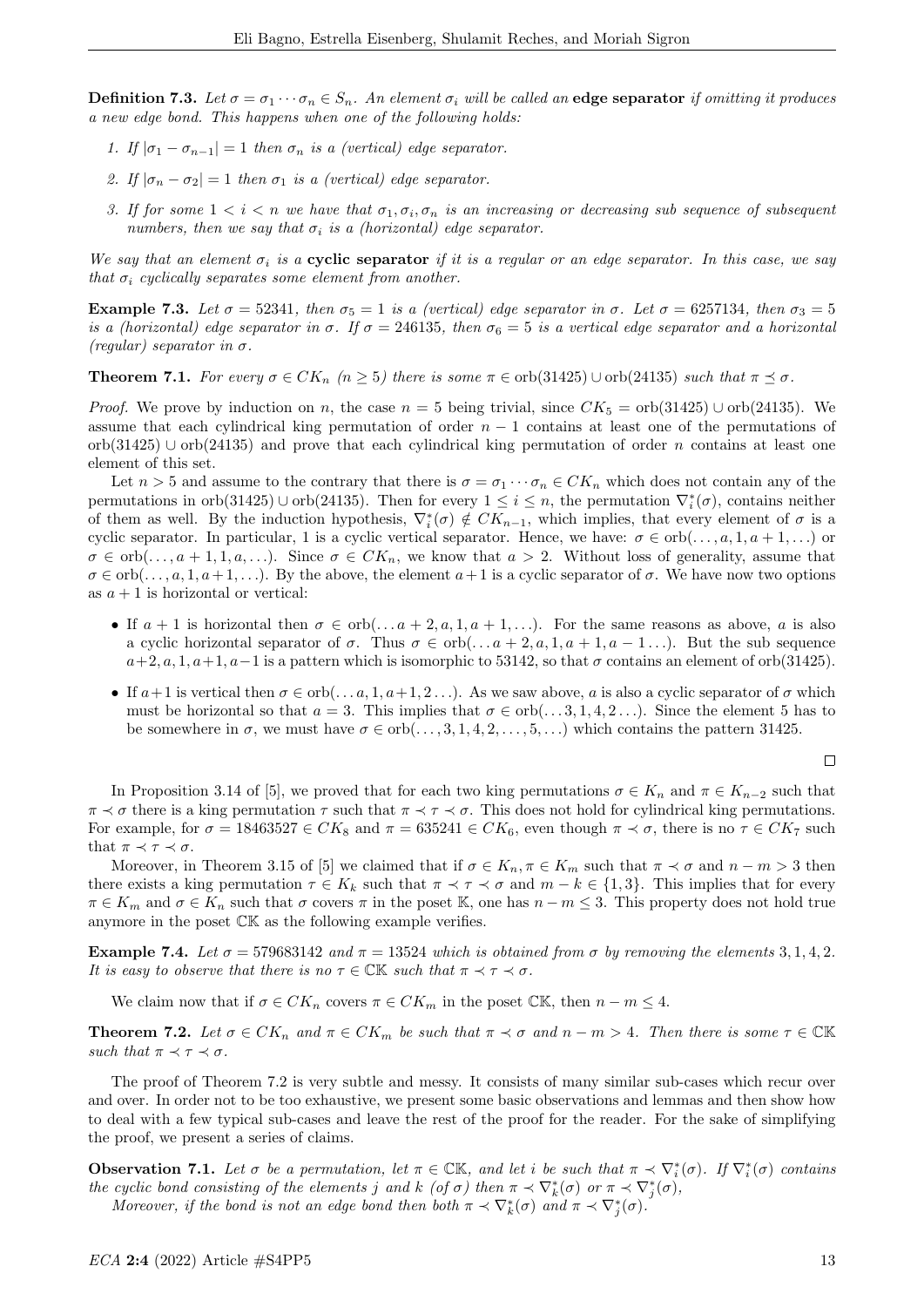**Definition 7.3.** Let  $\sigma = \sigma_1 \cdots \sigma_n \in S_n$ . An element  $\sigma_i$  will be called an edge separator if omitting it produces a new edge bond. This happens when one of the following holds:

- 1. If  $|\sigma_1 \sigma_{n-1}| = 1$  then  $\sigma_n$  is a (vertical) edge separator.
- 2. If  $|\sigma_n \sigma_2| = 1$  then  $\sigma_1$  is a (vertical) edge separator.
- 3. If for some  $1 < i < n$  we have that  $\sigma_1, \sigma_i, \sigma_n$  is an increasing or decreasing sub sequence of subsequent numbers, then we say that  $\sigma_i$  is a (horizontal) edge separator.

We say that an element  $\sigma_i$  is a **cyclic separator** if it is a regular or an edge separator. In this case, we say that  $\sigma_i$  cyclically separates some element from another.

Example 7.3. Let  $\sigma = 52341$ , then  $\sigma_5 = 1$  is a (vertical) edge separator in  $\sigma$ . Let  $\sigma = 6257134$ , then  $\sigma_3 = 5$ is a (horizontal) edge separator in  $\sigma$ . If  $\sigma = 246135$ , then  $\sigma_6 = 5$  is a vertical edge separator and a horizontal (regular) separator in  $\sigma$ .

**Theorem 7.1.** For every  $\sigma \in CK_n$   $(n \geq 5)$  there is some  $\pi \in orb(31425) \cup orb(24135)$  such that  $\pi \preceq \sigma$ .

*Proof.* We prove by induction on n, the case  $n = 5$  being trivial, since  $CK_5 = orb(31425) \cup orb(24135)$ . We assume that each cylindrical king permutation of order  $n - 1$  contains at least one of the permutations of  $orb(31425)$  ∪  $orb(24135)$  and prove that each cylindrical king permutation of order n contains at least one element of this set.

Let  $n > 5$  and assume to the contrary that there is  $\sigma = \sigma_1 \cdots \sigma_n \in CK_n$  which does not contain any of the permutations in orb(31425) ∪ orb(24135). Then for every  $1 \leq i \leq n$ , the permutation  $\nabla_i^*(\sigma)$ , contains neither of them as well. By the induction hypothesis,  $\nabla_i^*(\sigma) \notin CK_{n-1}$ , which implies, that every element of  $\sigma$  is a cyclic separator. In particular, 1 is a cyclic vertical separator. Hence, we have:  $\sigma \in \text{orb}(\ldots, a, 1, a+1, \ldots)$  or  $\sigma \in \text{orb}(\ldots, a+1, 1, a, \ldots)$ . Since  $\sigma \in CK_n$ , we know that  $a > 2$ . Without loss of generality, assume that  $\sigma \in \text{orb}(\ldots, a, 1, a+1, \ldots)$ . By the above, the element  $a+1$  is a cyclic separator of  $\sigma$ . We have now two options as  $a + 1$  is horizontal or vertical:

- If  $a + 1$  is horizontal then  $\sigma \in \text{orb}(\ldots a + 2, a, 1, a + 1, \ldots)$ . For the same reasons as above, a is also a cyclic horizontal separator of  $\sigma$ . Thus  $\sigma \in \text{orb}(\ldots a + 2, a, 1, a + 1, a - 1, \ldots)$ . But the sub sequence  $a+2, a, 1, a+1, a-1$  is a pattern which is isomorphic to 53142, so that  $\sigma$  contains an element of orb(31425).
- If  $a+1$  is vertical then  $\sigma \in \text{orb}(\ldots, a, 1, a+1, 2, \ldots)$ . As we saw above, a is also a cyclic separator of  $\sigma$  which must be horizontal so that  $a = 3$ . This implies that  $\sigma \in \text{orb}(\ldots, 3, 1, 4, 2, \ldots)$ . Since the element 5 has to be somewhere in  $\sigma$ , we must have  $\sigma \in \text{orb}(\ldots, 3, 1, 4, 2, \ldots, 5, \ldots)$  which contains the pattern 31425.

 $\Box$ 

In Proposition 3.14 of [5], we proved that for each two king permutations  $\sigma \in K_n$  and  $\pi \in K_{n-2}$  such that  $\pi \prec \sigma$  there is a king permutation  $\tau$  such that  $\pi \prec \tau \prec \sigma$ . This does not hold for cylindrical king permutations. For example, for  $\sigma = 18463527 \in CK_8$  and  $\pi = 635241 \in CK_6$ , even though  $\pi \prec \sigma$ , there is no  $\tau \in CK_7$  such that  $\pi \prec \tau \prec \sigma$ .

Moreover, in Theorem 3.15 of [5] we claimed that if  $\sigma \in K_n$ ,  $\pi \in K_m$  such that  $\pi \prec \sigma$  and  $n-m > 3$  then there exists a king permutation  $\tau \in K_k$  such that  $\pi \prec \tau \prec \sigma$  and  $m - k \in \{1,3\}$ . This implies that for every  $\pi \in K_m$  and  $\sigma \in K_n$  such that  $\sigma$  covers  $\pi$  in the poset K, one has  $n - m \leq 3$ . This property does not hold true anymore in the poset CK as the following example verifies.

Example 7.4. Let  $\sigma = 579683142$  and  $\pi = 13524$  which is obtained from  $\sigma$  by removing the elements 3, 1, 4, 2. It is easy to observe that there is no  $\tau \in \mathbb{CK}$  such that  $\pi \prec \tau \prec \sigma$ .

We claim now that if  $\sigma \in CK_n$  covers  $\pi \in CK_m$  in the poset  $\mathbb{CK}$ , then  $n-m \leq 4$ .

**Theorem 7.2.** Let  $\sigma \in CK_n$  and  $\pi \in CK_m$  be such that  $\pi \prec \sigma$  and  $n-m>4$ . Then there is some  $\tau \in \mathbb{CK}$ such that  $\pi \prec \tau \prec \sigma$ .

The proof of Theorem 7.2 is very subtle and messy. It consists of many similar sub-cases which recur over and over. In order not to be too exhaustive, we present some basic observations and lemmas and then show how to deal with a few typical sub-cases and leave the rest of the proof for the reader. For the sake of simplifying the proof, we present a series of claims.

**Observation 7.1.** Let  $\sigma$  be a permutation, let  $\pi \in \mathbb{CK}$ , and let i be such that  $\pi \prec \nabla_i^*(\sigma)$ . If  $\nabla_i^*(\sigma)$  contains the cyclic bond consisting of the elements j and k (of  $\sigma$ ) then  $\pi \prec \nabla_k^*(\sigma)$  or  $\pi \prec \nabla_j^*(\sigma)$ ,

Moreover, if the bond is not an edge bond then both  $\pi \prec \nabla_k^*(\sigma)$  and  $\pi \prec \nabla_j^*(\sigma)$ .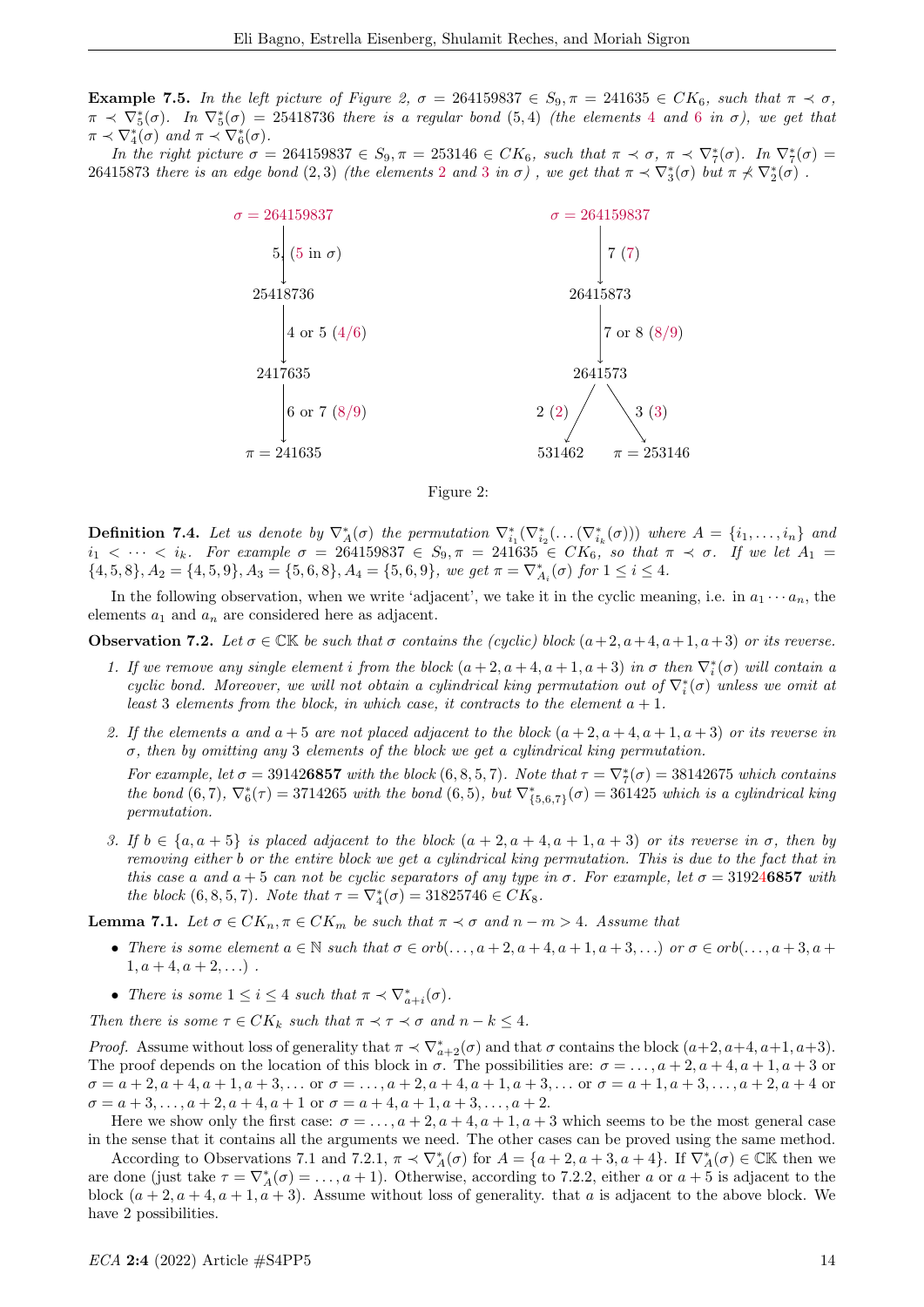Example 7.5. In the left picture of Figure 2,  $\sigma = 264159837 \in S_9$ ,  $\pi = 241635 \in CK_6$ , such that  $\pi \prec \sigma$ ,  $\pi \prec \nabla_5^*(\sigma)$ . In  $\nabla_5^*(\sigma) = 25418736$  there is a regular bond  $(5,4)$  (the elements 4 and 6 in  $\sigma$ ), we get that  $\pi \prec \nabla_4^*(\sigma)$  and  $\pi \prec \nabla_6^*(\sigma)$ .

In the right picture  $\sigma = 264159837 \in S_9$ ,  $\pi = 253146 \in CK_6$ , such that  $\pi \prec \sigma$ ,  $\pi \prec \nabla_7^*(\sigma)$ . In  $\nabla_7^*(\sigma)$ 26415873 there is an edge bond  $(2,3)$  (the elements 2 and 3 in  $\sigma$ ), we get that  $\pi \prec \nabla_3^*(\sigma)$  but  $\pi \not\prec \nabla_2^*(\sigma)$ .





**Definition 7.4.** Let us denote by  $\nabla_A^*(\sigma)$  the permutation  $\nabla_{i_1}^*(\nabla_{i_2}^*(\ldots(\nabla_{i_k}^*(\sigma)))$  where  $A = \{i_1, \ldots, i_n\}$  and  $i_1 < \cdots < i_k$ . For example  $\sigma = 264159837 \in S_9$ ,  $\pi = 241635 \in CK_6$ , so that  $\pi \prec \sigma$ . If we let  $A_1 =$  $\{4, 5, 8\}, A_2 = \{4, 5, 9\}, A_3 = \{5, 6, 8\}, A_4 = \{5, 6, 9\}, we get \ \pi = \nabla_{A_i}^*(\sigma) \ \text{for} \ 1 \leq i \leq 4.$ 

In the following observation, when we write 'adjacent', we take it in the cyclic meaning, i.e. in  $a_1 \cdots a_n$ , the elements  $a_1$  and  $a_n$  are considered here as adjacent.

**Observation 7.2.** Let  $\sigma \in \mathbb{CK}$  be such that  $\sigma$  contains the (cyclic) block  $(a+2, a+4, a+1, a+3)$  or its reverse.

- 1. If we remove any single element i from the block  $(a+2, a+4, a+1, a+3)$  in  $\sigma$  then  $\nabla_i^*(\sigma)$  will contain a cyclic bond. Moreover, we will not obtain a cylindrical king permutation out of  $\nabla_i^*(\sigma)$  unless we omit at least 3 elements from the block, in which case, it contracts to the element  $a + 1$ .
- 2. If the elements a and  $a + 5$  are not placed adjacent to the block  $(a + 2, a + 4, a + 1, a + 3)$  or its reverse in  $\sigma$ , then by omitting any 3 elements of the block we get a cylindrical king permutation.

For example, let  $\sigma = 391426857$  with the block  $(6, 8, 5, 7)$ . Note that  $\tau = \nabla_7^*(\sigma) = 38142675$  which contains the bond  $(6,7)$ ,  $\nabla_6^*(\tau) = 3714265$  with the bond  $(6,5)$ , but  $\nabla_{\{5,6,7\}}^*(\sigma) = 361425$  which is a cylindrical king permutation.

3. If  $b \in \{a, a + 5\}$  is placed adjacent to the block  $(a + 2, a + 4, a + 1, a + 3)$  or its reverse in  $\sigma$ , then by removing either b or the entire block we get a cylindrical king permutation. This is due to the fact that in this case a and  $a + 5$  can not be cyclic separators of any type in  $\sigma$ . For example, let  $\sigma = 319246857$  with the block  $(6, 8, 5, 7)$ . Note that  $\tau = \nabla_4^*(\sigma) = 31825746 \in CK_8$ .

**Lemma 7.1.** Let  $\sigma \in CK_n$ ,  $\pi \in CK_m$  be such that  $\pi \prec \sigma$  and  $n-m > 4$ . Assume that

- There is some element  $a \in \mathbb{N}$  such that  $\sigma \in orb(\ldots, a+2, a+4, a+1, a+3, \ldots)$  or  $\sigma \in orb(\ldots, a+3, a+4, \ldots)$  $1, a+4, a+2, \ldots$ ).
- There is some  $1 \leq i \leq 4$  such that  $\pi \prec \nabla^*_{a+i}(\sigma)$ .

Then there is some  $\tau \in CK_k$  such that  $\pi \prec \tau \prec \sigma$  and  $n-k \leq 4$ .

*Proof.* Assume without loss of generality that  $\pi \prec \nabla_{a+2}^*(\sigma)$  and that  $\sigma$  contains the block  $(a+2, a+4, a+1, a+3)$ . The proof depends on the location of this block in  $\sigma$ . The possibilities are:  $\sigma = \ldots, a+2, a+4, a+1, a+3$  or  $\sigma = a + 2, a + 4, a + 1, a + 3, \dots$  or  $\sigma = \dots, a + 2, a + 4, a + 1, a + 3, \dots$  or  $\sigma = a + 1, a + 3, \dots, a + 2, a + 4$  or  $\sigma = a + 3, \ldots, a + 2, a + 4, a + 1$  or  $\sigma = a + 4, a + 1, a + 3, \ldots, a + 2$ .

Here we show only the first case:  $\sigma = \ldots$ ,  $a + 2$ ,  $a + 4$ ,  $a + 1$ ,  $a + 3$  which seems to be the most general case in the sense that it contains all the arguments we need. The other cases can be proved using the same method.

According to Observations 7.1 and 7.2.1,  $\pi \prec \nabla_A^*(\sigma)$  for  $A = \{a+2, a+3, a+4\}$ . If  $\nabla_A^*(\sigma) \in \mathbb{CK}$  then we are done (just take  $\tau = \nabla_A^*(\sigma) = \ldots, a+1$ ). Otherwise, according to 7.2.2, either a or  $a+5$  is adjacent to the block  $(a+2, a+4, a+1, a+3)$ . Assume without loss of generality. that a is adjacent to the above block. We have 2 possibilities.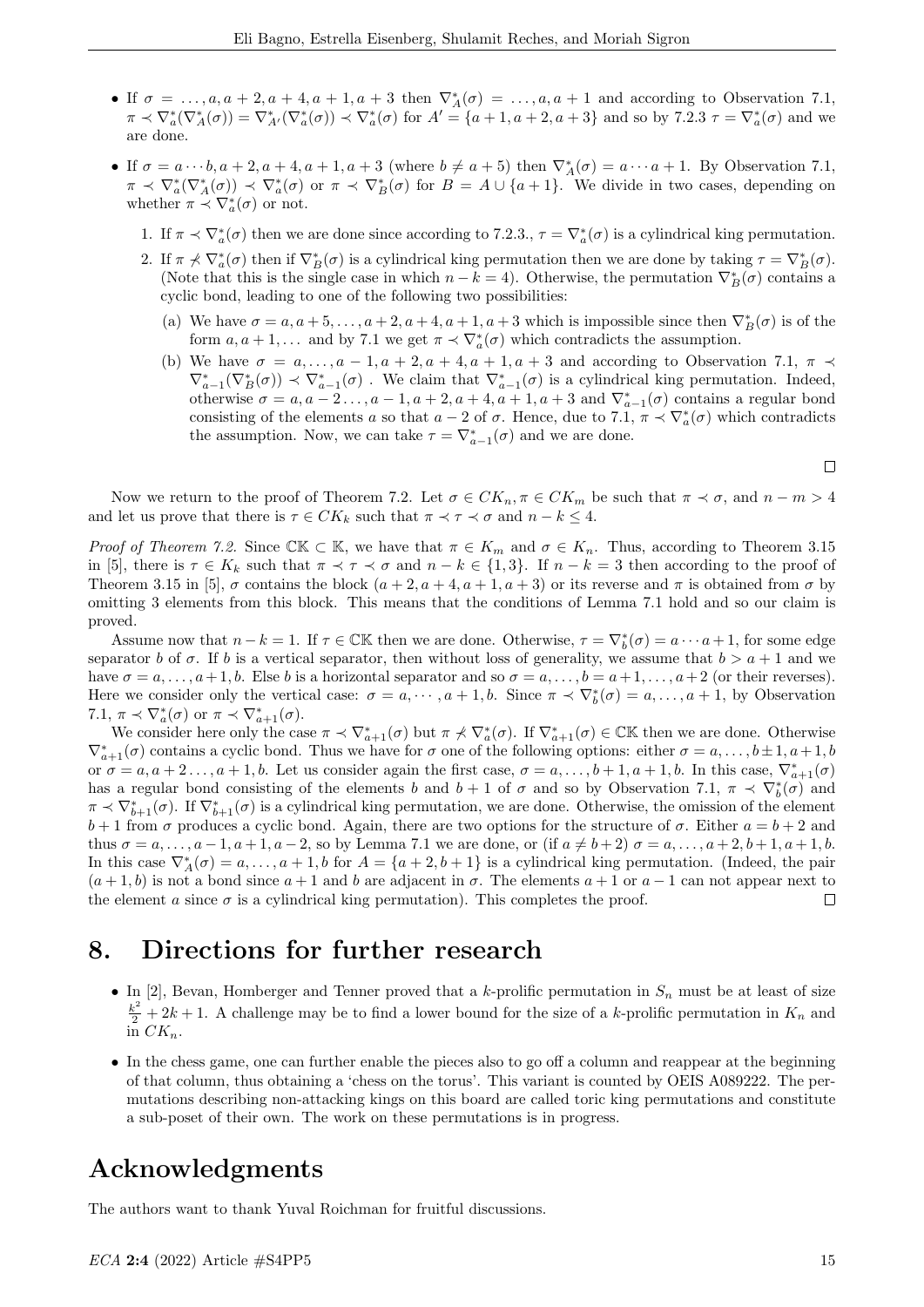- If  $\sigma = \ldots, a, a + 2, a + 4, a + 1, a + 3$  then  $\nabla_A^*(\sigma) = \ldots, a, a + 1$  and according to Observation 7.1,  $\pi \prec \nabla^*_{a}(\nabla^*_{A}(\sigma)) = \nabla^*_{A'}(\nabla^*_{a}(\sigma)) \prec \nabla^*_{a}(\sigma)$  for  $A' = \{a+1, a+2, a+3\}$  and so by 7.2.3  $\tau = \nabla^*_{a}(\sigma)$  and we are done.
- If  $\sigma = a \cdots b, a+2, a+4, a+1, a+3$  (where  $b \neq a+5$ ) then  $\nabla_A^*(\sigma) = a \cdots a+1$ . By Observation 7.1,  $\pi \prec \nabla_a^*(\nabla_A^*(\sigma)) \prec \nabla_a^*(\sigma)$  or  $\pi \prec \nabla_B^*(\sigma)$  for  $B = A \cup \{a+1\}$ . We divide in two cases, depending on whether  $\pi \prec \nabla_a^*(\sigma)$  or not.
	- 1. If  $\pi \prec \nabla^*_{a}(\sigma)$  then we are done since according to 7.2.3.,  $\tau = \nabla^*_{a}(\sigma)$  is a cylindrical king permutation.
	- 2. If  $\pi \nless \nabla^*_{a}(\sigma)$  then if  $\nabla^*_{B}(\sigma)$  is a cylindrical king permutation then we are done by taking  $\tau = \nabla^*_{B}(\sigma)$ . (Note that this is the single case in which  $n - k = 4$ ). Otherwise, the permutation  $\nabla_B^*(\sigma)$  contains a cyclic bond, leading to one of the following two possibilities:
		- (a) We have  $\sigma = a, a+5, \ldots, a+2, a+4, a+1, a+3$  which is impossible since then  $\nabla_B^*(\sigma)$  is of the form  $a, a + 1, \ldots$  and by 7.1 we get  $\pi \prec \nabla_a^*(\sigma)$  which contradicts the assumption.
		- (b) We have  $\sigma = a, \ldots, a-1, a+2, a+4, a+1, a+3$  and according to Observation 7.1,  $\pi \prec$  $\nabla_{a-1}^*(\nabla_B^*(\sigma)) \prec \nabla_{a-1}^*(\sigma)$ . We claim that  $\nabla_{a-1}^*(\sigma)$  is a cylindrical king permutation. Indeed, otherwise  $\sigma = a, a-2..., a-1, a+2, a+4, a+1, a+3$  and  $\nabla_{a-1}^*(\sigma)$  contains a regular bond consisting of the elements a so that  $a-2$  of  $\sigma$ . Hence, due to 7.1,  $\pi \prec \nabla^*_{a}(\sigma)$  which contradicts the assumption. Now, we can take  $\tau = \nabla_{a-1}^*(\sigma)$  and we are done.

 $\Box$ 

Now we return to the proof of Theorem 7.2. Let  $\sigma \in CK_n$ ,  $\pi \in CK_m$  be such that  $\pi \prec \sigma$ , and  $n-m>4$ and let us prove that there is  $\tau \in CK_k$  such that  $\pi \prec \tau \prec \sigma$  and  $n-k \leq 4$ .

*Proof of Theorem 7.2.* Since CK  $\subset$  K, we have that  $\pi \in K_m$  and  $\sigma \in K_n$ . Thus, according to Theorem 3.15 in [5], there is  $\tau \in K_k$  such that  $\pi \prec \tau \prec \sigma$  and  $n-k \in \{1,3\}$ . If  $n-k=3$  then according to the proof of Theorem 3.15 in [5],  $\sigma$  contains the block  $(a+2, a+4, a+1, a+3)$  or its reverse and  $\pi$  is obtained from  $\sigma$  by omitting 3 elements from this block. This means that the conditions of Lemma 7.1 hold and so our claim is proved.

Assume now that  $n - k = 1$ . If  $\tau \in \mathbb{CK}$  then we are done. Otherwise,  $\tau = \nabla_b^*(\sigma) = a \cdots a + 1$ , for some edge separator b of  $\sigma$ . If b is a vertical separator, then without loss of generality, we assume that  $b > a + 1$  and we have  $\sigma = a, \ldots, a+1, b$ . Else b is a horizontal separator and so  $\sigma = a, \ldots, b = a+1, \ldots, a+2$  (or their reverses). Here we consider only the vertical case:  $\sigma = a, \dots, a + 1, b$ . Since  $\pi \prec \nabla_b^*(\sigma) = a, \dots, a + 1$ , by Observation 7.1,  $\pi \prec \nabla_a^*(\sigma)$  or  $\pi \prec \nabla_{a+1}^*(\sigma)$ .

We consider here only the case  $\pi \prec \nabla_{a+1}^*(\sigma)$  but  $\pi \not\prec \nabla_a^*(\sigma)$ . If  $\nabla_{a+1}^*(\sigma) \in \mathbb{C} \mathbb{K}$  then we are done. Otherwise  $\nabla_{a+1}^*(\sigma)$  contains a cyclic bond. Thus we have for  $\sigma$  one of the following options: either  $\sigma = a, \ldots, b \pm 1, a+1, b$ or  $\sigma = a, a+2, \ldots, a+1, b$ . Let us consider again the first case,  $\sigma = a, \ldots, b+1, a+1, b$ . In this case,  $\nabla_{a+1}^*(\sigma)$ has a regular bond consisting of the elements b and  $b+1$  of  $\sigma$  and so by Observation 7.1,  $\pi \prec \nabla_b^*(\sigma)$  and  $\pi \prec \nabla_{b+1}^*(\sigma)$ . If  $\nabla_{b+1}^*(\sigma)$  is a cylindrical king permutation, we are done. Otherwise, the omission of the element  $b+1$  from  $\sigma$  produces a cyclic bond. Again, there are two options for the structure of  $\sigma$ . Either  $a=b+2$  and thus  $\sigma = a, \ldots, a-1, a+1, a-2$ , so by Lemma 7.1 we are done, or (if  $a \neq b+2$ )  $\sigma = a, \ldots, a+2, b+1, a+1, b$ . In this case  $\nabla_A^*(\sigma) = a, \ldots, a+1, b$  for  $A = \{a+2, b+1\}$  is a cylindrical king permutation. (Indeed, the pair  $(a+1, b)$  is not a bond since  $a+1$  and b are adjacent in  $\sigma$ . The elements  $a+1$  or  $a-1$  can not appear next to the element a since  $\sigma$  is a cylindrical king permutation). This completes the proof.  $\Box$ 

# 8. Directions for further research

- In [2], Bevan, Homberger and Tenner proved that a k-prolific permutation in  $S_n$  must be at least of size  $\frac{k^2}{2} + 2k + 1$ . A challenge may be to find a lower bound for the size of a k-prolific permutation in  $K_n$  and  $\prod_{n=1}^{\infty} C K_n$ .
- In the chess game, one can further enable the pieces also to go off a column and reappear at the beginning of that column, thus obtaining a 'chess on the torus'. This variant is counted by OEIS A089222. The permutations describing non-attacking kings on this board are called toric king permutations and constitute a sub-poset of their own. The work on these permutations is in progress.

# Acknowledgments

The authors want to thank Yuval Roichman for fruitful discussions.